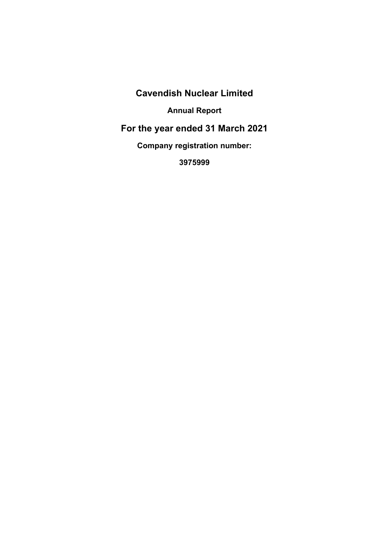**Cavendish Nuclear Limited** 

**Annual Report** 

**For the year ended 31 March 2021** 

**Company registration number:** 

**3975999**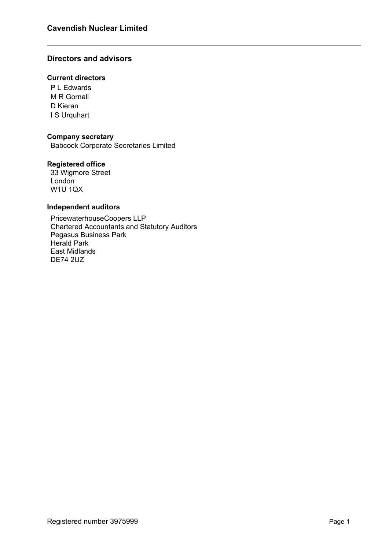## **Directors and advisors**

## **Current directors**

P L Edwards M R Gornall D Kieran I S Urquhart

#### **Company secretary**

Babcock Corporate Secretaries Limited

#### **Registered office**

33 Wigmore Street **London** W1U 1QX

#### **Independent auditors**

PricewaterhouseCoopers LLP Chartered Accountants and Statutory Auditors Pegasus Business Park Herald Park East Midlands DE74 2UZ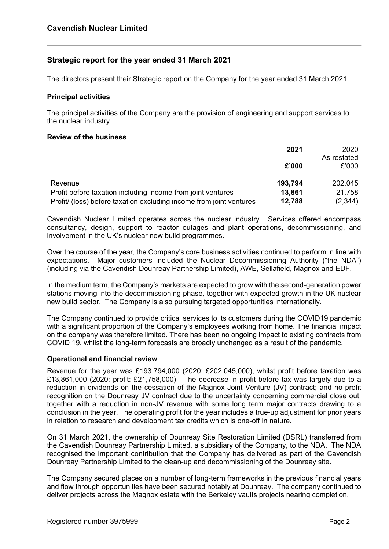## **Strategic report for the year ended 31 March 2021**

The directors present their Strategic report on the Company for the year ended 31 March 2021.

#### **Principal activities**

The principal activities of the Company are the provision of engineering and support services to the nuclear industry.

#### **Review of the business**

|                                                                     | 2021    | 2020        |
|---------------------------------------------------------------------|---------|-------------|
|                                                                     |         | As restated |
|                                                                     | £'000   | £'000       |
| Revenue                                                             | 193,794 | 202,045     |
| Profit before taxation including income from joint ventures         | 13,861  | 21,758      |
| Profit/ (loss) before taxation excluding income from joint ventures | 12,788  | (2,344)     |

Cavendish Nuclear Limited operates across the nuclear industry. Services offered encompass consultancy, design, support to reactor outages and plant operations, decommissioning, and involvement in the UK's nuclear new build programmes.

Over the course of the year, the Company's core business activities continued to perform in line with expectations. Major customers included the Nuclear Decommissioning Authority ("the NDA") (including via the Cavendish Dounreay Partnership Limited), AWE, Sellafield, Magnox and EDF.

In the medium term, the Company's markets are expected to grow with the second-generation power stations moving into the decommissioning phase, together with expected growth in the UK nuclear new build sector. The Company is also pursuing targeted opportunities internationally.

The Company continued to provide critical services to its customers during the COVID19 pandemic with a significant proportion of the Company's employees working from home. The financial impact on the company was therefore limited. There has been no ongoing impact to existing contracts from COVID 19, whilst the long-term forecasts are broadly unchanged as a result of the pandemic.

#### **Operational and financial review**

Revenue for the year was £193,794,000 (2020: £202,045,000), whilst profit before taxation was £13,861,000 (2020: profit: £21,758,000). The decrease in profit before tax was largely due to a reduction in dividends on the cessation of the Magnox Joint Venture (JV) contract; and no profit recognition on the Dounreay JV contract due to the uncertainty concerning commercial close out; together with a reduction in non-JV revenue with some long term major contracts drawing to a conclusion in the year. The operating profit for the year includes a true-up adjustment for prior years in relation to research and development tax credits which is one-off in nature.

On 31 March 2021, the ownership of Dounreay Site Restoration Limited (DSRL) transferred from the Cavendish Dounreay Partnership Limited, a subsidiary of the Company, to the NDA. The NDA recognised the important contribution that the Company has delivered as part of the Cavendish Dounreay Partnership Limited to the clean-up and decommissioning of the Dounreay site.

The Company secured places on a number of long-term frameworks in the previous financial years and flow through opportunities have been secured notably at Dounreay. The company continued to deliver projects across the Magnox estate with the Berkeley vaults projects nearing completion.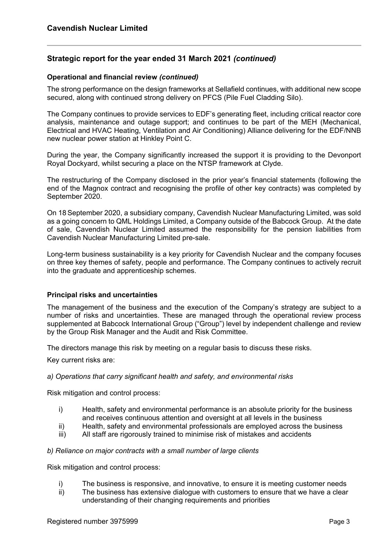## **Strategic report for the year ended 31 March 2021** *(continued)*

#### **Operational and financial review** *(continued)*

The strong performance on the design frameworks at Sellafield continues, with additional new scope secured, along with continued strong delivery on PFCS (Pile Fuel Cladding Silo).

The Company continues to provide services to EDF's generating fleet, including critical reactor core analysis, maintenance and outage support; and continues to be part of the MEH (Mechanical, Electrical and HVAC Heating, Ventilation and Air Conditioning) Alliance delivering for the EDF/NNB new nuclear power station at Hinkley Point C.

During the year, the Company significantly increased the support it is providing to the Devonport Royal Dockyard, whilst securing a place on the NTSP framework at Clyde.

The restructuring of the Company disclosed in the prior year's financial statements (following the end of the Magnox contract and recognising the profile of other key contracts) was completed by September 2020.

On 18September 2020, a subsidiary company, Cavendish Nuclear Manufacturing Limited, was sold as a going concern to QML Holdings Limited, a Company outside of the Babcock Group. At the date of sale, Cavendish Nuclear Limited assumed the responsibility for the pension liabilities from Cavendish Nuclear Manufacturing Limited pre-sale.

Long-term business sustainability is a key priority for Cavendish Nuclear and the company focuses on three key themes of safety, people and performance. The Company continues to actively recruit into the graduate and apprenticeship schemes.

#### **Principal risks and uncertainties**

The management of the business and the execution of the Company's strategy are subject to a number of risks and uncertainties. These are managed through the operational review process supplemented at Babcock International Group ("Group") level by independent challenge and review by the Group Risk Manager and the Audit and Risk Committee.

The directors manage this risk by meeting on a regular basis to discuss these risks.

Key current risks are:

#### *a) Operations that carry significant health and safety, and environmental risks*

Risk mitigation and control process:

- i) Health, safety and environmental performance is an absolute priority for the business and receives continuous attention and oversight at all levels in the business
- ii) Health, safety and environmental professionals are employed across the business
- iii) All staff are rigorously trained to minimise risk of mistakes and accidents

#### *b) Reliance on major contracts with a small number of large clients*

Risk mitigation and control process:

- i) The business is responsive, and innovative, to ensure it is meeting customer needs
- ii) The business has extensive dialogue with customers to ensure that we have a clear understanding of their changing requirements and priorities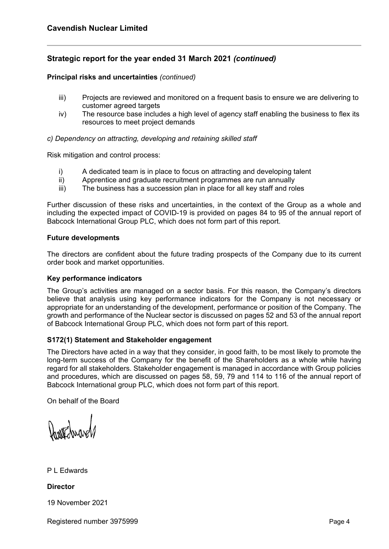## **Strategic report for the year ended 31 March 2021** *(continued)*

#### **Principal risks and uncertainties** *(continued)*

- iii) Projects are reviewed and monitored on a frequent basis to ensure we are delivering to customer agreed targets
- iv) The resource base includes a high level of agency staff enabling the business to flex its resources to meet project demands

#### *c) Dependency on attracting, developing and retaining skilled staff*

Risk mitigation and control process:

- i) A dedicated team is in place to focus on attracting and developing talent
- ii) Apprentice and graduate recruitment programmes are run annually
- iii) The business has a succession plan in place for all key staff and roles

Further discussion of these risks and uncertainties, in the context of the Group as a whole and including the expected impact of COVID-19 is provided on pages 84 to 95 of the annual report of Babcock International Group PLC, which does not form part of this report.

#### **Future developments**

The directors are confident about the future trading prospects of the Company due to its current order book and market opportunities.

#### **Key performance indicators**

The Group's activities are managed on a sector basis. For this reason, the Company's directors believe that analysis using key performance indicators for the Company is not necessary or appropriate for an understanding of the development, performance or position of the Company. The growth and performance of the Nuclear sector is discussed on pages 52 and 53 of the annual report of Babcock International Group PLC, which does not form part of this report.

#### **S172(1) Statement and Stakeholder engagement**

The Directors have acted in a way that they consider, in good faith, to be most likely to promote the long-term success of the Company for the benefit of the Shareholders as a whole while having regard for all stakeholders. Stakeholder engagement is managed in accordance with Group policies and procedures, which are discussed on pages 58, 59, 79 and 114 to 116 of the annual report of Babcock International group PLC, which does not form part of this report.

On behalf of the Board

WEdnar

P L Edwards

**Director** 

19 November 2021

Registered number 3975999 Page 4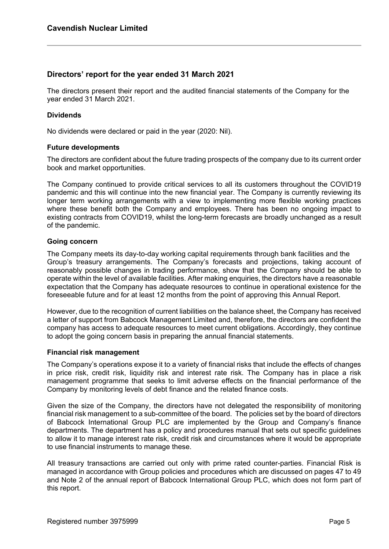## **Directors' report for the year ended 31 March 2021**

The directors present their report and the audited financial statements of the Company for the year ended 31 March 2021.

#### **Dividends**

No dividends were declared or paid in the year (2020: Nil).

#### **Future developments**

The directors are confident about the future trading prospects of the company due to its current order book and market opportunities.

The Company continued to provide critical services to all its customers throughout the COVID19 pandemic and this will continue into the new financial year. The Company is currently reviewing its longer term working arrangements with a view to implementing more flexible working practices where these benefit both the Company and employees. There has been no ongoing impact to existing contracts from COVID19, whilst the long-term forecasts are broadly unchanged as a result of the pandemic.

#### **Going concern**

The Company meets its day-to-day working capital requirements through bank facilities and the Group's treasury arrangements. The Company's forecasts and projections, taking account of reasonably possible changes in trading performance, show that the Company should be able to operate within the level of available facilities. After making enquiries, the directors have a reasonable expectation that the Company has adequate resources to continue in operational existence for the foreseeable future and for at least 12 months from the point of approving this Annual Report.

However, due to the recognition of current liabilities on the balance sheet, the Company has received a letter of support from Babcock Management Limited and, therefore, the directors are confident the company has access to adequate resources to meet current obligations. Accordingly, they continue to adopt the going concern basis in preparing the annual financial statements.

#### **Financial risk management**

The Company's operations expose it to a variety of financial risks that include the effects of changes in price risk, credit risk, liquidity risk and interest rate risk. The Company has in place a risk management programme that seeks to limit adverse effects on the financial performance of the Company by monitoring levels of debt finance and the related finance costs.

Given the size of the Company, the directors have not delegated the responsibility of monitoring financial risk management to a sub-committee of the board. The policies set by the board of directors of Babcock International Group PLC are implemented by the Group and Company's finance departments. The department has a policy and procedures manual that sets out specific guidelines to allow it to manage interest rate risk, credit risk and circumstances where it would be appropriate to use financial instruments to manage these.

All treasury transactions are carried out only with prime rated counter-parties. Financial Risk is managed in accordance with Group policies and procedures which are discussed on pages 47 to 49 and Note 2 of the annual report of Babcock International Group PLC, which does not form part of this report.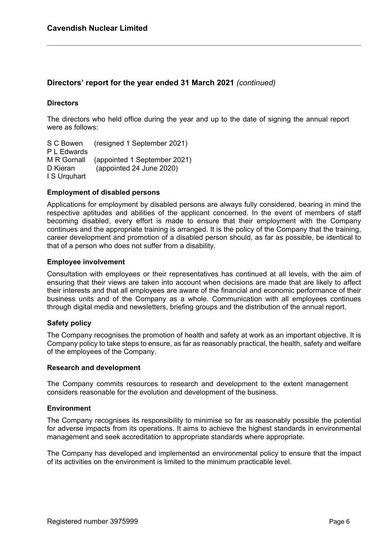## **Directors' report for the year ended 31 March 2021** *(continued)*

#### **Directors**

The directors who held office during the year and up to the date of signing the annual report were as follows:

S C Bowen (resigned 1 September 2021) P L Edwards M R Gornall (appointed 1 September 2021) D Kieran (appointed 24 June 2020) I S Urquhart

#### **Employment of disabled persons**

Applications for employment by disabled persons are always fully considered, bearing in mind the respective aptitudes and abilities of the applicant concerned. In the event of members of staff becoming disabled, every effort is made to ensure that their employment with the Company continues and the appropriate training is arranged. It is the policy of the Company that the training, career development and promotion of a disabled person should, as far as possible, be identical to that of a person who does not suffer from a disability.

#### **Employee involvement**

Consultation with employees or their representatives has continued at all levels, with the aim of ensuring that their views are taken into account when decisions are made that are likely to affect their interests and that all employees are aware of the financial and economic performance of their business units and of the Company as a whole. Communication with all employees continues through digital media and newsletters, briefing groups and the distribution of the annual report.

#### **Safety policy**

The Company recognises the promotion of health and safety at work as an important objective. It is Company policy to take steps to ensure, as far as reasonably practical, the health, safety and welfare of the employees of the Company.

#### **Research and development**

The Company commits resources to research and development to the extent management considers reasonable for the evolution and development of the business.

#### **Environment**

The Company recognises its responsibility to minimise so far as reasonably possible the potential for adverse impacts from its operations. It aims to achieve the highest standards in environmental management and seek accreditation to appropriate standards where appropriate.

The Company has developed and implemented an environmental policy to ensure that the impact of its activities on the environment is limited to the minimum practicable level.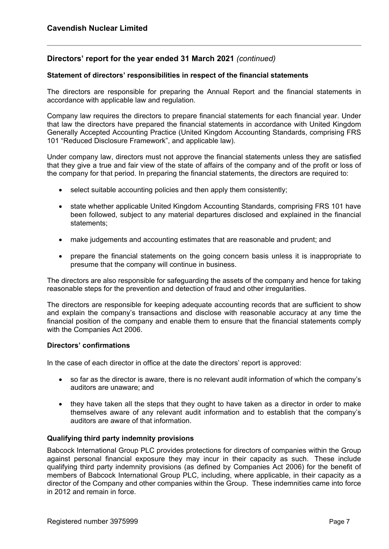## **Directors' report for the year ended 31 March 2021** *(continued)*

#### **Statement of directors' responsibilities in respect of the financial statements**

The directors are responsible for preparing the Annual Report and the financial statements in accordance with applicable law and regulation.

Company law requires the directors to prepare financial statements for each financial year. Under that law the directors have prepared the financial statements in accordance with United Kingdom Generally Accepted Accounting Practice (United Kingdom Accounting Standards, comprising FRS 101 "Reduced Disclosure Framework", and applicable law).

Under company law, directors must not approve the financial statements unless they are satisfied that they give a true and fair view of the state of affairs of the company and of the profit or loss of the company for that period. In preparing the financial statements, the directors are required to:

- $\bullet$  select suitable accounting policies and then apply them consistently;
- state whether applicable United Kingdom Accounting Standards, comprising FRS 101 have been followed, subject to any material departures disclosed and explained in the financial statements;
- make judgements and accounting estimates that are reasonable and prudent; and
- prepare the financial statements on the going concern basis unless it is inappropriate to presume that the company will continue in business.

The directors are also responsible for safeguarding the assets of the company and hence for taking reasonable steps for the prevention and detection of fraud and other irregularities.

The directors are responsible for keeping adequate accounting records that are sufficient to show and explain the company's transactions and disclose with reasonable accuracy at any time the financial position of the company and enable them to ensure that the financial statements comply with the Companies Act 2006.

#### **Directors' confirmations**

In the case of each director in office at the date the directors' report is approved:

- so far as the director is aware, there is no relevant audit information of which the company's auditors are unaware; and
- they have taken all the steps that they ought to have taken as a director in order to make themselves aware of any relevant audit information and to establish that the company's auditors are aware of that information.

#### **Qualifying third party indemnity provisions**

Babcock International Group PLC provides protections for directors of companies within the Group against personal financial exposure they may incur in their capacity as such. These include qualifying third party indemnity provisions (as defined by Companies Act 2006) for the benefit of members of Babcock International Group PLC, including, where applicable, in their capacity as a director of the Company and other companies within the Group. These indemnities came into force in 2012 and remain in force.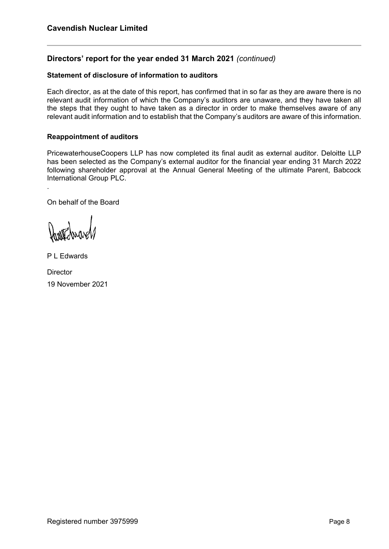## **Directors' report for the year ended 31 March 2021** *(continued)*

#### **Statement of disclosure of information to auditors**

Each director, as at the date of this report, has confirmed that in so far as they are aware there is no relevant audit information of which the Company's auditors are unaware, and they have taken all the steps that they ought to have taken as a director in order to make themselves aware of any relevant audit information and to establish that the Company's auditors are aware of this information.

## **Reappointment of auditors**

PricewaterhouseCoopers LLP has now completed its final audit as external auditor. Deloitte LLP has been selected as the Company's external auditor for the financial year ending 31 March 2022 following shareholder approval at the Annual General Meeting of the ultimate Parent, Babcock International Group PLC.

On behalf of the Board

.

P L Edwards

**Director** 19 November 2021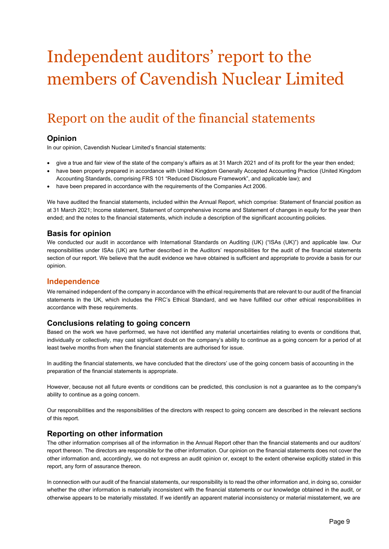# Independent auditors' report to the members of Cavendish Nuclear Limited

## Report on the audit of the financial statements

## **Opinion**

In our opinion, Cavendish Nuclear Limited's financial statements:

- give a true and fair view of the state of the company's affairs as at 31 March 2021 and of its profit for the year then ended;
- have been properly prepared in accordance with United Kingdom Generally Accepted Accounting Practice (United Kingdom Accounting Standards, comprising FRS 101 "Reduced Disclosure Framework", and applicable law); and
- have been prepared in accordance with the requirements of the Companies Act 2006.

We have audited the financial statements, included within the Annual Report, which comprise: Statement of financial position as at 31 March 2021; Income statement, Statement of comprehensive income and Statement of changes in equity for the year then ended; and the notes to the financial statements, which include a description of the significant accounting policies.

#### **Basis for opinion**

We conducted our audit in accordance with International Standards on Auditing (UK) ("ISAs (UK)") and applicable law. Our responsibilities under ISAs (UK) are further described in the Auditors' responsibilities for the audit of the financial statements section of our report. We believe that the audit evidence we have obtained is sufficient and appropriate to provide a basis for our opinion.

#### **Independence**

We remained independent of the company in accordance with the ethical requirements that are relevant to our audit of the financial statements in the UK, which includes the FRC's Ethical Standard, and we have fulfilled our other ethical responsibilities in accordance with these requirements.

#### **Conclusions relating to going concern**

Based on the work we have performed, we have not identified any material uncertainties relating to events or conditions that, individually or collectively, may cast significant doubt on the company's ability to continue as a going concern for a period of at least twelve months from when the financial statements are authorised for issue.

In auditing the financial statements, we have concluded that the directors' use of the going concern basis of accounting in the preparation of the financial statements is appropriate.

However, because not all future events or conditions can be predicted, this conclusion is not a guarantee as to the company's ability to continue as a going concern.

Our responsibilities and the responsibilities of the directors with respect to going concern are described in the relevant sections of this report.

#### **Reporting on other information**

The other information comprises all of the information in the Annual Report other than the financial statements and our auditors' report thereon. The directors are responsible for the other information. Our opinion on the financial statements does not cover the other information and, accordingly, we do not express an audit opinion or, except to the extent otherwise explicitly stated in this report, any form of assurance thereon.

In connection with our audit of the financial statements, our responsibility is to read the other information and, in doing so, consider whether the other information is materially inconsistent with the financial statements or our knowledge obtained in the audit, or otherwise appears to be materially misstated. If we identify an apparent material inconsistency or material misstatement, we are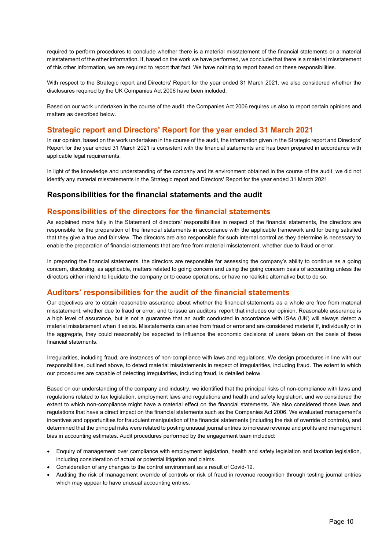required to perform procedures to conclude whether there is a material misstatement of the financial statements or a material misstatement of the other information. If, based on the work we have performed, we conclude that there is a material misstatement of this other information, we are required to report that fact. We have nothing to report based on these responsibilities.

With respect to the Strategic report and Directors' Report for the year ended 31 March 2021, we also considered whether the disclosures required by the UK Companies Act 2006 have been included.

Based on our work undertaken in the course of the audit, the Companies Act 2006 requires us also to report certain opinions and matters as described below.

## **Strategic report and Directors' Report for the year ended 31 March 2021**

In our opinion, based on the work undertaken in the course of the audit, the information given in the Strategic report and Directors' Report for the year ended 31 March 2021 is consistent with the financial statements and has been prepared in accordance with applicable legal requirements.

In light of the knowledge and understanding of the company and its environment obtained in the course of the audit, we did not identify any material misstatements in the Strategic report and Directors' Report for the year ended 31 March 2021.

#### **Responsibilities for the financial statements and the audit**

## **Responsibilities of the directors for the financial statements**

As explained more fully in the Statement of directors' responsibilities in respect of the financial statements, the directors are responsible for the preparation of the financial statements in accordance with the applicable framework and for being satisfied that they give a true and fair view. The directors are also responsible for such internal control as they determine is necessary to enable the preparation of financial statements that are free from material misstatement, whether due to fraud or error.

In preparing the financial statements, the directors are responsible for assessing the company's ability to continue as a going concern, disclosing, as applicable, matters related to going concern and using the going concern basis of accounting unless the directors either intend to liquidate the company or to cease operations, or have no realistic alternative but to do so.

#### **Auditors' responsibilities for the audit of the financial statements**

Our objectives are to obtain reasonable assurance about whether the financial statements as a whole are free from material misstatement, whether due to fraud or error, and to issue an auditors' report that includes our opinion. Reasonable assurance is a high level of assurance, but is not a guarantee that an audit conducted in accordance with ISAs (UK) will always detect a material misstatement when it exists. Misstatements can arise from fraud or error and are considered material if, individually or in the aggregate, they could reasonably be expected to influence the economic decisions of users taken on the basis of these financial statements.

Irregularities, including fraud, are instances of non-compliance with laws and regulations. We design procedures in line with our responsibilities, outlined above, to detect material misstatements in respect of irregularities, including fraud. The extent to which our procedures are capable of detecting irregularities, including fraud, is detailed below.

Based on our understanding of the company and industry, we identified that the principal risks of non-compliance with laws and regulations related to tax legislation, employment laws and regulations and health and safety legislation, and we considered the extent to which non-compliance might have a material effect on the financial statements. We also considered those laws and regulations that have a direct impact on the financial statements such as the Companies Act 2006. We evaluated management's incentives and opportunities for fraudulent manipulation of the financial statements (including the risk of override of controls), and determined that the principal risks were related to posting unusual journal entries to increase revenue and profits and management bias in accounting estimates. Audit procedures performed by the engagement team included:

- Enquiry of management over compliance with employment legislation, health and safety legislation and taxation legislation, including consideration of actual or potential litigation and claims.
- Consideration of any changes to the control environment as a result of Covid-19.
- Auditing the risk of management override of controls or risk of fraud in revenue recognition through testing journal entries which may appear to have unusual accounting entries.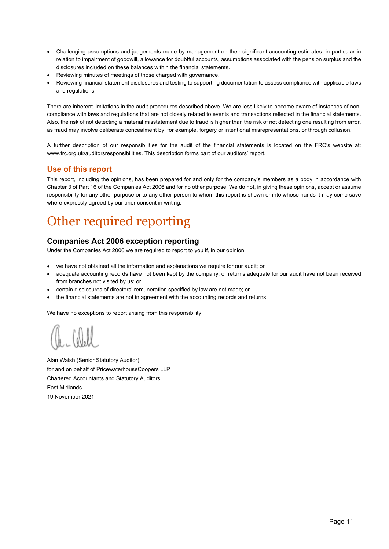- Challenging assumptions and judgements made by management on their significant accounting estimates, in particular in relation to impairment of goodwill, allowance for doubtful accounts, assumptions associated with the pension surplus and the disclosures included on these balances within the financial statements.
- Reviewing minutes of meetings of those charged with governance.
- Reviewing financial statement disclosures and testing to supporting documentation to assess compliance with applicable laws and regulations.

There are inherent limitations in the audit procedures described above. We are less likely to become aware of instances of noncompliance with laws and regulations that are not closely related to events and transactions reflected in the financial statements. Also, the risk of not detecting a material misstatement due to fraud is higher than the risk of not detecting one resulting from error, as fraud may involve deliberate concealment by, for example, forgery or intentional misrepresentations, or through collusion.

A further description of our responsibilities for the audit of the financial statements is located on the FRC's website at: www.frc.org.uk/auditorsresponsibilities. This description forms part of our auditors' report.

## **Use of this report**

This report, including the opinions, has been prepared for and only for the company's members as a body in accordance with Chapter 3 of Part 16 of the Companies Act 2006 and for no other purpose. We do not, in giving these opinions, accept or assume responsibility for any other purpose or to any other person to whom this report is shown or into whose hands it may come save where expressly agreed by our prior consent in writing.

## Other required reporting

## **Companies Act 2006 exception reporting**

Under the Companies Act 2006 we are required to report to you if, in our opinion:

- we have not obtained all the information and explanations we require for our audit; or
- adequate accounting records have not been kept by the company, or returns adequate for our audit have not been received from branches not visited by us; or
- certain disclosures of directors' remuneration specified by law are not made; or
- the financial statements are not in agreement with the accounting records and returns.

We have no exceptions to report arising from this responsibility.

Alan Walsh (Senior Statutory Auditor) for and on behalf of PricewaterhouseCoopers LLP Chartered Accountants and Statutory Auditors East Midlands 19 November 2021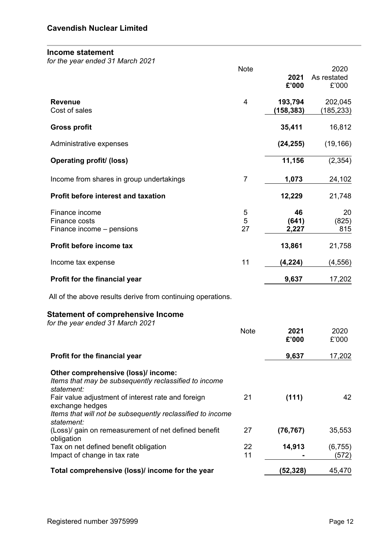## **Income statement**

*for the year ended 31 March 2021*

|                                                                               | Note           |           | 2020        |
|-------------------------------------------------------------------------------|----------------|-----------|-------------|
|                                                                               |                | 2021      | As restated |
|                                                                               |                | £'000     | £'000       |
| <b>Revenue</b>                                                                | $\overline{4}$ | 193,794   | 202,045     |
| Cost of sales                                                                 |                | (158,383) | (185, 233)  |
| <b>Gross profit</b>                                                           |                | 35,411    | 16,812      |
| Administrative expenses                                                       |                | (24, 255) | (19, 166)   |
| <b>Operating profit/ (loss)</b>                                               |                | 11,156    | (2, 354)    |
| Income from shares in group undertakings                                      | $\overline{7}$ | 1,073     | 24,102      |
| <b>Profit before interest and taxation</b>                                    |                | 12,229    | 21,748      |
| Finance income                                                                | 5              | 46        | 20          |
| Finance costs                                                                 | 5              | (641)     | (825)       |
| Finance income – pensions                                                     | 27             | 2,227     | 815         |
| Profit before income tax                                                      |                | 13,861    | 21,758      |
| Income tax expense                                                            | 11             | (4, 224)  | (4, 556)    |
| Profit for the financial year                                                 |                | 9,637     | 17,202      |
| All of the above results derive from continuing operations.                   |                |           |             |
| <b>Statement of comprehensive Income</b>                                      |                |           |             |
| for the year ended 31 March 2021                                              | <b>Note</b>    | 2021      | 2020        |
|                                                                               |                | £'000     | £'000       |
| Profit for the financial year                                                 |                | 9,637     | 17,202      |
| Other comprehensive (loss)/ income:                                           |                |           |             |
| Items that may be subsequently reclassified to income                         |                |           |             |
| statement:                                                                    |                |           |             |
| Fair value adjustment of interest rate and foreign                            | 21             | (111)     | 42          |
| exchange hedges<br>Items that will not be subsequently reclassified to income |                |           |             |
| statement:                                                                    |                |           |             |
| (Loss)/ gain on remeasurement of net defined benefit<br>obligation            | 27             | (76, 767) | 35,553      |
| Tax on net defined benefit obligation                                         | 22             | 14,913    | (6, 755)    |
| Impact of change in tax rate                                                  | 11             |           | (572)       |
| Total comprehensive (loss)/ income for the year                               |                | (52, 328) | 45,470      |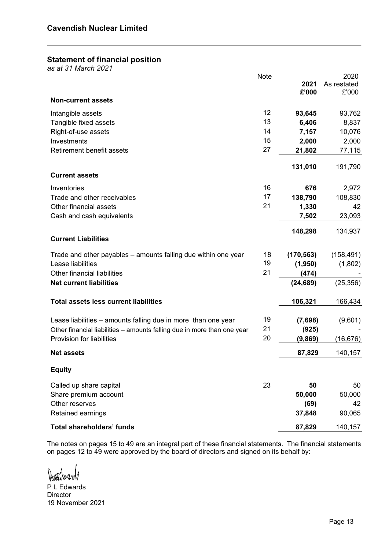## **Statement of financial position**

*as at 31 March 2021* 

|                                                                         | Note |            | 2020        |
|-------------------------------------------------------------------------|------|------------|-------------|
|                                                                         |      | 2021       | As restated |
|                                                                         |      | £'000      | £'000       |
| <b>Non-current assets</b>                                               |      |            |             |
| Intangible assets                                                       | 12   | 93,645     | 93,762      |
| Tangible fixed assets                                                   | 13   | 6,406      | 8,837       |
| Right-of-use assets                                                     | 14   | 7,157      | 10,076      |
| Investments                                                             | 15   | 2,000      | 2,000       |
| <b>Retirement benefit assets</b>                                        | 27   | 21,802     | 77,115      |
|                                                                         |      |            |             |
|                                                                         |      | 131,010    | 191,790     |
| <b>Current assets</b>                                                   |      |            |             |
| Inventories                                                             | 16   | 676        | 2,972       |
| Trade and other receivables                                             | 17   | 138,790    | 108,830     |
| Other financial assets                                                  | 21   | 1,330      | 42          |
| Cash and cash equivalents                                               |      | 7,502      | 23,093      |
|                                                                         |      |            |             |
| <b>Current Liabilities</b>                                              |      | 148,298    | 134,937     |
|                                                                         |      |            |             |
| Trade and other payables – amounts falling due within one year          | 18   | (170, 563) | (158, 491)  |
| Lease liabilities                                                       | 19   | (1,950)    | (1,802)     |
| Other financial liabilities                                             | 21   | (474)      |             |
| <b>Net current liabilities</b>                                          |      | (24, 689)  | (25, 356)   |
|                                                                         |      |            |             |
| <b>Total assets less current liabilities</b>                            |      | 106,321    | 166,434     |
|                                                                         |      |            |             |
| Lease liabilities – amounts falling due in more than one year           | 19   | (7,698)    | (9,601)     |
| Other financial liabilities - amounts falling due in more than one year | 21   | (925)      |             |
| Provision for liabilities                                               | 20   | (9,869)    | (16, 676)   |
| <b>Net assets</b>                                                       |      | 87,829     | 140,157     |
| <b>Equity</b>                                                           |      |            |             |
|                                                                         |      |            |             |
| Called up share capital                                                 | 23   | 50         | 50          |
| Share premium account                                                   |      | 50,000     | 50,000      |
| Other reserves                                                          |      | (69)       | 42          |
| Retained earnings                                                       |      | 37,848     | 90,065      |
| <b>Total shareholders' funds</b>                                        |      | 87,829     | 140,157     |

The notes on pages 15 to 49 are an integral part of these financial statements. The financial statements on pages 12 to 49 were approved by the board of directors and signed on its behalf by:

Harthward

P L Edwards Director 19 November 2021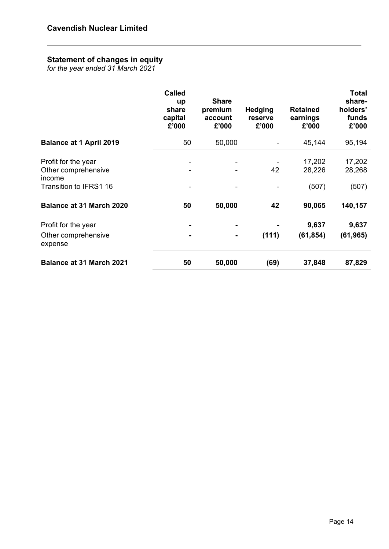## **Statement of changes in equity**

*for the year ended 31 March 2021* 

|                                                                                | <b>Called</b><br>up<br>share<br>capital<br>£'000 | <b>Share</b><br>premium<br>account<br>£'000 | <b>Hedging</b><br>reserve<br>£'000 | <b>Retained</b><br>earnings<br>£'000 | <b>Total</b><br>share-<br>holders'<br>funds<br>£'000 |
|--------------------------------------------------------------------------------|--------------------------------------------------|---------------------------------------------|------------------------------------|--------------------------------------|------------------------------------------------------|
| <b>Balance at 1 April 2019</b>                                                 | 50                                               | 50,000                                      |                                    | 45,144                               | 95,194                                               |
| Profit for the year<br>Other comprehensive<br>income<br>Transition to IFRS1 16 |                                                  |                                             | 42                                 | 17,202<br>28,226                     | 17,202<br>28,268                                     |
| <b>Balance at 31 March 2020</b>                                                | 50                                               | ۰<br>50,000                                 | 42                                 | (507)<br>90,065                      | (507)<br>140,157                                     |
| Profit for the year<br>Other comprehensive<br>expense                          |                                                  | $\blacksquare$<br>$\blacksquare$            | (111)                              | 9,637<br>(61, 854)                   | 9,637<br>(61, 965)                                   |
| <b>Balance at 31 March 2021</b>                                                | 50                                               | 50,000                                      | (69)                               | 37,848                               | 87,829                                               |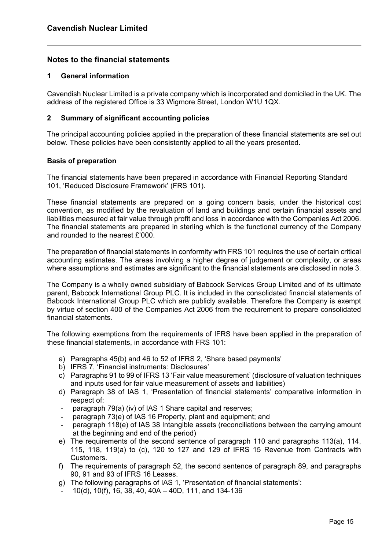## **Notes to the financial statements**

#### **1 General information**

Cavendish Nuclear Limited is a private company which is incorporated and domiciled in the UK. The address of the registered Office is 33 Wigmore Street, London W1U 1QX.

#### **2 Summary of significant accounting policies**

The principal accounting policies applied in the preparation of these financial statements are set out below. These policies have been consistently applied to all the years presented.

#### **Basis of preparation**

The financial statements have been prepared in accordance with Financial Reporting Standard 101, 'Reduced Disclosure Framework' (FRS 101).

These financial statements are prepared on a going concern basis, under the historical cost convention, as modified by the revaluation of land and buildings and certain financial assets and liabilities measured at fair value through profit and loss in accordance with the Companies Act 2006. The financial statements are prepared in sterling which is the functional currency of the Company and rounded to the nearest £'000.

The preparation of financial statements in conformity with FRS 101 requires the use of certain critical accounting estimates. The areas involving a higher degree of judgement or complexity, or areas where assumptions and estimates are significant to the financial statements are disclosed in note 3.

The Company is a wholly owned subsidiary of Babcock Services Group Limited and of its ultimate parent, Babcock International Group PLC. It is included in the consolidated financial statements of Babcock International Group PLC which are publicly available. Therefore the Company is exempt by virtue of section 400 of the Companies Act 2006 from the requirement to prepare consolidated financial statements*.*

The following exemptions from the requirements of IFRS have been applied in the preparation of these financial statements, in accordance with FRS 101:

- a) Paragraphs 45(b) and 46 to 52 of IFRS 2, 'Share based payments'
- b) IFRS 7, 'Financial instruments: Disclosures'
- c) Paragraphs 91 to 99 of IFRS 13 'Fair value measurement' (disclosure of valuation techniques and inputs used for fair value measurement of assets and liabilities)
- d) Paragraph 38 of IAS 1, 'Presentation of financial statements' comparative information in respect of:
- paragraph 79(a) (iv) of IAS 1 Share capital and reserves;
- paragraph 73(e) of IAS 16 Property, plant and equipment; and
- paragraph 118(e) of IAS 38 Intangible assets (reconciliations between the carrying amount at the beginning and end of the period)
- e) The requirements of the second sentence of paragraph 110 and paragraphs 113(a), 114, 115, 118, 119(a) to (c), 120 to 127 and 129 of IFRS 15 Revenue from Contracts with Customers.
- f) The requirements of paragraph 52, the second sentence of paragraph 89, and paragraphs 90, 91 and 93 of IFRS 16 Leases.
- g) The following paragraphs of IAS 1, 'Presentation of financial statements':
	- 10(d), 10(f), 16, 38, 40, 40A 40D, 111, and 134-136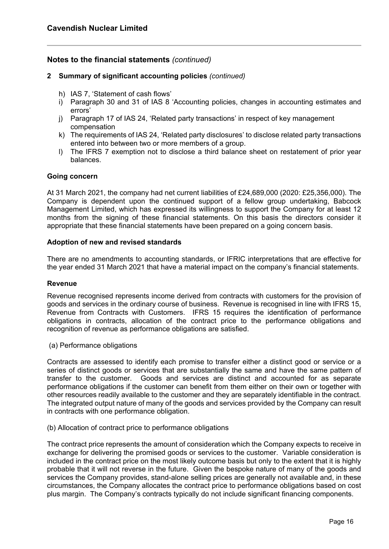#### **2 Summary of significant accounting policies** *(continued)*

- h) IAS 7, 'Statement of cash flows'
- i) Paragraph 30 and 31 of IAS 8 'Accounting policies, changes in accounting estimates and errors'
- j) Paragraph 17 of IAS 24, 'Related party transactions' in respect of key management compensation
- k) The requirements of IAS 24, 'Related party disclosures' to disclose related party transactions entered into between two or more members of a group.
- l) The IFRS 7 exemption not to disclose a third balance sheet on restatement of prior year balances.

#### **Going concern**

At 31 March 2021, the company had net current liabilities of £24,689,000 (2020: £25,356,000). The Company is dependent upon the continued support of a fellow group undertaking, Babcock Management Limited, which has expressed its willingness to support the Company for at least 12 months from the signing of these financial statements. On this basis the directors consider it appropriate that these financial statements have been prepared on a going concern basis.

#### **Adoption of new and revised standards**

There are no amendments to accounting standards, or IFRIC interpretations that are effective for the year ended 31 March 2021 that have a material impact on the company's financial statements.

#### **Revenue**

Revenue recognised represents income derived from contracts with customers for the provision of goods and services in the ordinary course of business. Revenue is recognised in line with IFRS 15, Revenue from Contracts with Customers. IFRS 15 requires the identification of performance obligations in contracts, allocation of the contract price to the performance obligations and recognition of revenue as performance obligations are satisfied.

(a) Performance obligations

Contracts are assessed to identify each promise to transfer either a distinct good or service or a series of distinct goods or services that are substantially the same and have the same pattern of transfer to the customer. Goods and services are distinct and accounted for as separate performance obligations if the customer can benefit from them either on their own or together with other resources readily available to the customer and they are separately identifiable in the contract. The integrated output nature of many of the goods and services provided by the Company can result in contracts with one performance obligation.

#### (b) Allocation of contract price to performance obligations

The contract price represents the amount of consideration which the Company expects to receive in exchange for delivering the promised goods or services to the customer. Variable consideration is included in the contract price on the most likely outcome basis but only to the extent that it is highly probable that it will not reverse in the future. Given the bespoke nature of many of the goods and services the Company provides, stand-alone selling prices are generally not available and, in these circumstances, the Company allocates the contract price to performance obligations based on cost plus margin. The Company's contracts typically do not include significant financing components.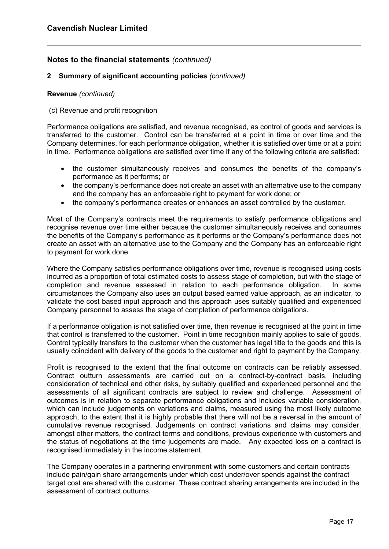#### **2 Summary of significant accounting policies** *(continued)*

#### **Revenue** *(continued)*

#### (c) Revenue and profit recognition

Performance obligations are satisfied, and revenue recognised, as control of goods and services is transferred to the customer. Control can be transferred at a point in time or over time and the Company determines, for each performance obligation, whether it is satisfied over time or at a point in time. Performance obligations are satisfied over time if any of the following criteria are satisfied:

- the customer simultaneously receives and consumes the benefits of the company's performance as it performs; or
- the company's performance does not create an asset with an alternative use to the company and the company has an enforceable right to payment for work done; or
- the company's performance creates or enhances an asset controlled by the customer.

Most of the Company's contracts meet the requirements to satisfy performance obligations and recognise revenue over time either because the customer simultaneously receives and consumes the benefits of the Company's performance as it performs or the Company's performance does not create an asset with an alternative use to the Company and the Company has an enforceable right to payment for work done.

Where the Company satisfies performance obligations over time, revenue is recognised using costs incurred as a proportion of total estimated costs to assess stage of completion, but with the stage of completion and revenue assessed in relation to each performance obligation. In some circumstances the Company also uses an output based earned value approach, as an indicator, to validate the cost based input approach and this approach uses suitably qualified and experienced Company personnel to assess the stage of completion of performance obligations.

If a performance obligation is not satisfied over time, then revenue is recognised at the point in time that control is transferred to the customer. Point in time recognition mainly applies to sale of goods. Control typically transfers to the customer when the customer has legal title to the goods and this is usually coincident with delivery of the goods to the customer and right to payment by the Company.

Profit is recognised to the extent that the final outcome on contracts can be reliably assessed. Contract outturn assessments are carried out on a contract-by-contract basis, including consideration of technical and other risks, by suitably qualified and experienced personnel and the assessments of all significant contracts are subject to review and challenge. Assessment of outcomes is in relation to separate performance obligations and includes variable consideration, which can include judgements on variations and claims, measured using the most likely outcome approach, to the extent that it is highly probable that there will not be a reversal in the amount of cumulative revenue recognised. Judgements on contract variations and claims may consider, amongst other matters, the contract terms and conditions, previous experience with customers and the status of negotiations at the time judgements are made. Any expected loss on a contract is recognised immediately in the income statement.

The Company operates in a partnering environment with some customers and certain contracts include pain/gain share arrangements under which cost under/over spends against the contract target cost are shared with the customer. These contract sharing arrangements are included in the assessment of contract outturns.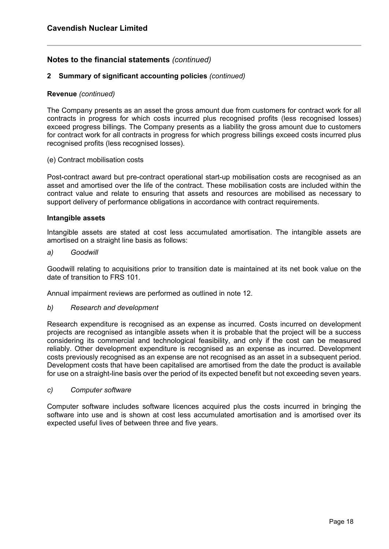#### **2 Summary of significant accounting policies** *(continued)*

#### **Revenue** *(continued)*

The Company presents as an asset the gross amount due from customers for contract work for all contracts in progress for which costs incurred plus recognised profits (less recognised losses) exceed progress billings. The Company presents as a liability the gross amount due to customers for contract work for all contracts in progress for which progress billings exceed costs incurred plus recognised profits (less recognised losses).

#### (e) Contract mobilisation costs

Post-contract award but pre-contract operational start-up mobilisation costs are recognised as an asset and amortised over the life of the contract. These mobilisation costs are included within the contract value and relate to ensuring that assets and resources are mobilised as necessary to support delivery of performance obligations in accordance with contract requirements.

#### **Intangible assets**

Intangible assets are stated at cost less accumulated amortisation. The intangible assets are amortised on a straight line basis as follows:

#### *a) Goodwill*

Goodwill relating to acquisitions prior to transition date is maintained at its net book value on the date of transition to FRS 101.

Annual impairment reviews are performed as outlined in note 12.

#### *b) Research and development*

Research expenditure is recognised as an expense as incurred. Costs incurred on development projects are recognised as intangible assets when it is probable that the project will be a success considering its commercial and technological feasibility, and only if the cost can be measured reliably. Other development expenditure is recognised as an expense as incurred. Development costs previously recognised as an expense are not recognised as an asset in a subsequent period. Development costs that have been capitalised are amortised from the date the product is available for use on a straight-line basis over the period of its expected benefit but not exceeding seven years.

#### *c) Computer software*

Computer software includes software licences acquired plus the costs incurred in bringing the software into use and is shown at cost less accumulated amortisation and is amortised over its expected useful lives of between three and five years.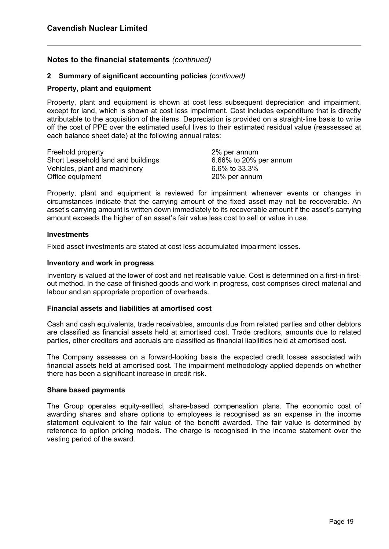#### **2 Summary of significant accounting policies** *(continued)*

#### **Property, plant and equipment**

Property, plant and equipment is shown at cost less subsequent depreciation and impairment, except for land, which is shown at cost less impairment. Cost includes expenditure that is directly attributable to the acquisition of the items. Depreciation is provided on a straight-line basis to write off the cost of PPE over the estimated useful lives to their estimated residual value (reassessed at each balance sheet date) at the following annual rates:

| Freehold property                  | 2% per annum           |
|------------------------------------|------------------------|
| Short Leasehold land and buildings | 6.66% to 20% per annum |
| Vehicles, plant and machinery      | 6.6% to 33.3%          |
| Office equipment                   | 20% per annum          |

Property, plant and equipment is reviewed for impairment whenever events or changes in circumstances indicate that the carrying amount of the fixed asset may not be recoverable. An asset's carrying amount is written down immediately to its recoverable amount if the asset's carrying amount exceeds the higher of an asset's fair value less cost to sell or value in use.

#### **Investments**

Fixed asset investments are stated at cost less accumulated impairment losses.

#### **Inventory and work in progress**

Inventory is valued at the lower of cost and net realisable value. Cost is determined on a first-in firstout method. In the case of finished goods and work in progress, cost comprises direct material and labour and an appropriate proportion of overheads.

#### **Financial assets and liabilities at amortised cost**

Cash and cash equivalents, trade receivables, amounts due from related parties and other debtors are classified as financial assets held at amortised cost. Trade creditors, amounts due to related parties, other creditors and accruals are classified as financial liabilities held at amortised cost.

The Company assesses on a forward-looking basis the expected credit losses associated with financial assets held at amortised cost. The impairment methodology applied depends on whether there has been a significant increase in credit risk.

#### **Share based payments**

The Group operates equity-settled, share-based compensation plans. The economic cost of awarding shares and share options to employees is recognised as an expense in the income statement equivalent to the fair value of the benefit awarded. The fair value is determined by reference to option pricing models. The charge is recognised in the income statement over the vesting period of the award.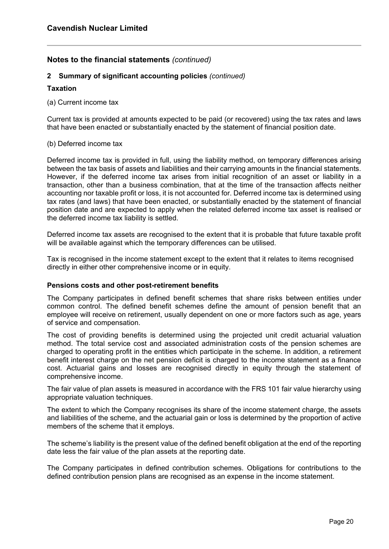#### **2 Summary of significant accounting policies** *(continued)*

#### **Taxation**

(a) Current income tax

Current tax is provided at amounts expected to be paid (or recovered) using the tax rates and laws that have been enacted or substantially enacted by the statement of financial position date.

#### (b) Deferred income tax

Deferred income tax is provided in full, using the liability method, on temporary differences arising between the tax basis of assets and liabilities and their carrying amounts in the financial statements. However, if the deferred income tax arises from initial recognition of an asset or liability in a transaction, other than a business combination, that at the time of the transaction affects neither accounting nor taxable profit or loss, it is not accounted for. Deferred income tax is determined using tax rates (and laws) that have been enacted, or substantially enacted by the statement of financial position date and are expected to apply when the related deferred income tax asset is realised or the deferred income tax liability is settled.

Deferred income tax assets are recognised to the extent that it is probable that future taxable profit will be available against which the temporary differences can be utilised.

Tax is recognised in the income statement except to the extent that it relates to items recognised directly in either other comprehensive income or in equity.

#### **Pensions costs and other post-retirement benefits**

The Company participates in defined benefit schemes that share risks between entities under common control. The defined benefit schemes define the amount of pension benefit that an employee will receive on retirement, usually dependent on one or more factors such as age, years of service and compensation.

The cost of providing benefits is determined using the projected unit credit actuarial valuation method. The total service cost and associated administration costs of the pension schemes are charged to operating profit in the entities which participate in the scheme. In addition, a retirement benefit interest charge on the net pension deficit is charged to the income statement as a finance cost. Actuarial gains and losses are recognised directly in equity through the statement of comprehensive income.

The fair value of plan assets is measured in accordance with the FRS 101 fair value hierarchy using appropriate valuation techniques.

The extent to which the Company recognises its share of the income statement charge, the assets and liabilities of the scheme, and the actuarial gain or loss is determined by the proportion of active members of the scheme that it employs.

The scheme's liability is the present value of the defined benefit obligation at the end of the reporting date less the fair value of the plan assets at the reporting date.

The Company participates in defined contribution schemes. Obligations for contributions to the defined contribution pension plans are recognised as an expense in the income statement.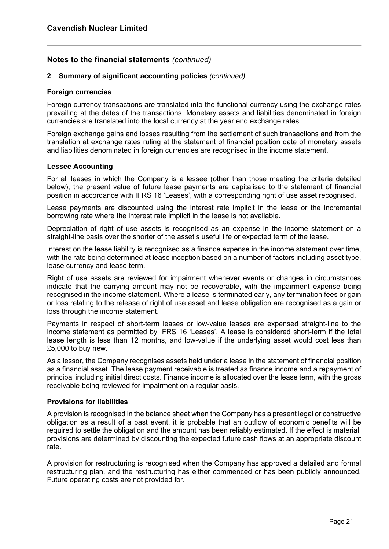#### **2 Summary of significant accounting policies** *(continued)*

#### **Foreign currencies**

Foreign currency transactions are translated into the functional currency using the exchange rates prevailing at the dates of the transactions. Monetary assets and liabilities denominated in foreign currencies are translated into the local currency at the year end exchange rates.

Foreign exchange gains and losses resulting from the settlement of such transactions and from the translation at exchange rates ruling at the statement of financial position date of monetary assets and liabilities denominated in foreign currencies are recognised in the income statement.

#### **Lessee Accounting**

For all leases in which the Company is a lessee (other than those meeting the criteria detailed below), the present value of future lease payments are capitalised to the statement of financial position in accordance with IFRS 16 'Leases', with a corresponding right of use asset recognised.

Lease payments are discounted using the interest rate implicit in the lease or the incremental borrowing rate where the interest rate implicit in the lease is not available.

Depreciation of right of use assets is recognised as an expense in the income statement on a straight-line basis over the shorter of the asset's useful life or expected term of the lease.

Interest on the lease liability is recognised as a finance expense in the income statement over time, with the rate being determined at lease inception based on a number of factors including asset type, lease currency and lease term.

Right of use assets are reviewed for impairment whenever events or changes in circumstances indicate that the carrying amount may not be recoverable, with the impairment expense being recognised in the income statement. Where a lease is terminated early, any termination fees or gain or loss relating to the release of right of use asset and lease obligation are recognised as a gain or loss through the income statement.

Payments in respect of short-term leases or low-value leases are expensed straight-line to the income statement as permitted by IFRS 16 'Leases'. A lease is considered short-term if the total lease length is less than 12 months, and low-value if the underlying asset would cost less than £5,000 to buy new.

As a lessor, the Company recognises assets held under a lease in the statement of financial position as a financial asset. The lease payment receivable is treated as finance income and a repayment of principal including initial direct costs. Finance income is allocated over the lease term, with the gross receivable being reviewed for impairment on a regular basis.

#### **Provisions for liabilities**

A provision is recognised in the balance sheet when the Company has a present legal or constructive obligation as a result of a past event, it is probable that an outflow of economic benefits will be required to settle the obligation and the amount has been reliably estimated. If the effect is material, provisions are determined by discounting the expected future cash flows at an appropriate discount rate.

A provision for restructuring is recognised when the Company has approved a detailed and formal restructuring plan, and the restructuring has either commenced or has been publicly announced. Future operating costs are not provided for.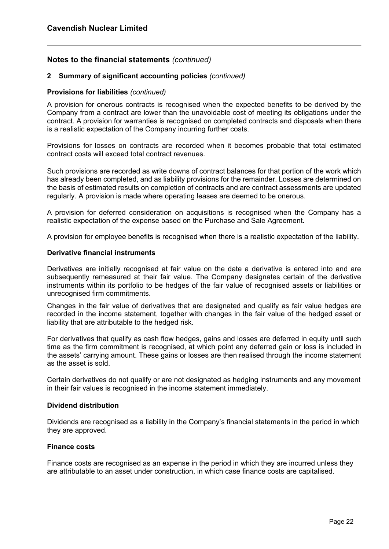#### **2 Summary of significant accounting policies** *(continued)*

#### **Provisions for liabilities** *(continued)*

A provision for onerous contracts is recognised when the expected benefits to be derived by the Company from a contract are lower than the unavoidable cost of meeting its obligations under the contract. A provision for warranties is recognised on completed contracts and disposals when there is a realistic expectation of the Company incurring further costs.

Provisions for losses on contracts are recorded when it becomes probable that total estimated contract costs will exceed total contract revenues.

Such provisions are recorded as write downs of contract balances for that portion of the work which has already been completed, and as liability provisions for the remainder. Losses are determined on the basis of estimated results on completion of contracts and are contract assessments are updated regularly. A provision is made where operating leases are deemed to be onerous.

A provision for deferred consideration on acquisitions is recognised when the Company has a realistic expectation of the expense based on the Purchase and Sale Agreement.

A provision for employee benefits is recognised when there is a realistic expectation of the liability.

#### **Derivative financial instruments**

Derivatives are initially recognised at fair value on the date a derivative is entered into and are subsequently remeasured at their fair value. The Company designates certain of the derivative instruments within its portfolio to be hedges of the fair value of recognised assets or liabilities or unrecognised firm commitments.

Changes in the fair value of derivatives that are designated and qualify as fair value hedges are recorded in the income statement, together with changes in the fair value of the hedged asset or liability that are attributable to the hedged risk.

For derivatives that qualify as cash flow hedges, gains and losses are deferred in equity until such time as the firm commitment is recognised, at which point any deferred gain or loss is included in the assets' carrying amount. These gains or losses are then realised through the income statement as the asset is sold.

Certain derivatives do not qualify or are not designated as hedging instruments and any movement in their fair values is recognised in the income statement immediately.

#### **Dividend distribution**

Dividends are recognised as a liability in the Company's financial statements in the period in which they are approved.

#### **Finance costs**

Finance costs are recognised as an expense in the period in which they are incurred unless they are attributable to an asset under construction, in which case finance costs are capitalised.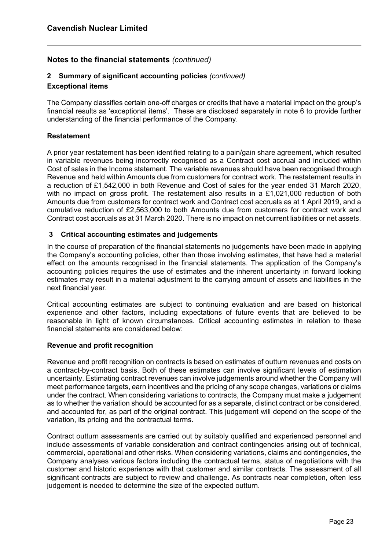#### **2 Summary of significant accounting policies** *(continued)*

#### **Exceptional items**

The Company classifies certain one-off charges or credits that have a material impact on the group's financial results as 'exceptional items'. These are disclosed separately in note 6 to provide further understanding of the financial performance of the Company.

#### **Restatement**

A prior year restatement has been identified relating to a pain/gain share agreement, which resulted in variable revenues being incorrectly recognised as a Contract cost accrual and included within Cost of sales in the Income statement. The variable revenues should have been recognised through Revenue and held within Amounts due from customers for contract work. The restatement results in a reduction of £1,542,000 in both Revenue and Cost of sales for the year ended 31 March 2020, with no impact on gross profit. The restatement also results in a £1,021,000 reduction of both Amounts due from customers for contract work and Contract cost accruals as at 1 April 2019, and a cumulative reduction of £2,563,000 to both Amounts due from customers for contract work and Contract cost accruals as at 31 March 2020. There is no impact on net current liabilities or net assets.

#### **3 Critical accounting estimates and judgements**

In the course of preparation of the financial statements no judgements have been made in applying the Company's accounting policies, other than those involving estimates, that have had a material effect on the amounts recognised in the financial statements. The application of the Company's accounting policies requires the use of estimates and the inherent uncertainty in forward looking estimates may result in a material adjustment to the carrying amount of assets and liabilities in the next financial year.

Critical accounting estimates are subject to continuing evaluation and are based on historical experience and other factors, including expectations of future events that are believed to be reasonable in light of known circumstances. Critical accounting estimates in relation to these financial statements are considered below:

#### **Revenue and profit recognition**

Revenue and profit recognition on contracts is based on estimates of outturn revenues and costs on a contract-by-contract basis. Both of these estimates can involve significant levels of estimation uncertainty. Estimating contract revenues can involve judgements around whether the Company will meet performance targets, earn incentives and the pricing of any scope changes, variations or claims under the contract. When considering variations to contracts, the Company must make a judgement as to whether the variation should be accounted for as a separate, distinct contract or be considered, and accounted for, as part of the original contract. This judgement will depend on the scope of the variation, its pricing and the contractual terms.

Contract outturn assessments are carried out by suitably qualified and experienced personnel and include assessments of variable consideration and contract contingencies arising out of technical, commercial, operational and other risks. When considering variations, claims and contingencies, the Company analyses various factors including the contractual terms, status of negotiations with the customer and historic experience with that customer and similar contracts. The assessment of all significant contracts are subject to review and challenge. As contracts near completion, often less judgement is needed to determine the size of the expected outturn.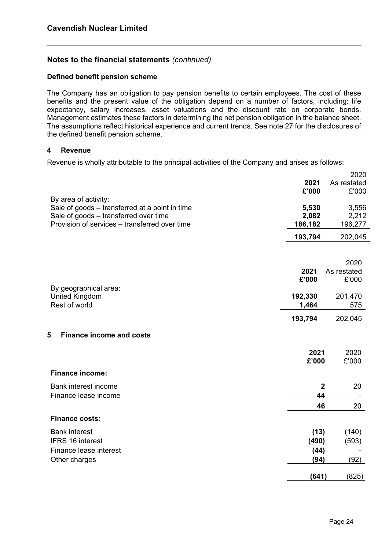#### **Defined benefit pension scheme**

The Company has an obligation to pay pension benefits to certain employees. The cost of these benefits and the present value of the obligation depend on a number of factors, including: life expectancy, salary increases, asset valuations and the discount rate on corporate bonds. Management estimates these factors in determining the net pension obligation in the balance sheet. The assumptions reflect historical experience and current trends. See note 27 for the disclosures of the defined benefit pension scheme.

#### **4 Revenue**

Revenue is wholly attributable to the principal activities of the Company and arises as follows:

|                                                                        |         | 2020              |
|------------------------------------------------------------------------|---------|-------------------|
|                                                                        | 2021    | As restated       |
|                                                                        | £'000   | £'000             |
| By area of activity:<br>Sale of goods - transferred at a point in time | 5,530   | 3,556             |
| Sale of goods - transferred over time                                  | 2,082   | 2,212             |
| Provision of services – transferred over time                          | 186,182 | 196,277           |
|                                                                        | 193,794 | 202,045           |
|                                                                        |         | 2020              |
|                                                                        | 2021    | As restated       |
|                                                                        | £'000   | £'000             |
| By geographical area:<br><b>United Kingdom</b>                         | 192,330 | 201,470           |
| Rest of world                                                          | 1,464   | 575               |
|                                                                        | 193,794 | 202,045           |
| 5<br><b>Finance income and costs</b>                                   |         |                   |
|                                                                        | 2021    | 2020              |
|                                                                        | £'000   | £'000             |
| <b>Finance income:</b>                                                 |         |                   |
| Bank interest income                                                   |         | 20<br>$\mathbf 2$ |
| Finance lease income                                                   | 44      |                   |
|                                                                        | 46      | 20                |
| <b>Finance costs:</b>                                                  |         |                   |
| <b>Bank interest</b>                                                   | (13)    | (140)             |
| <b>IFRS 16 interest</b>                                                | (490)   | (593)             |
| Finance lease interest                                                 | (44)    |                   |
| Other charges                                                          | (94)    | (92)              |
|                                                                        | (641)   | (825)             |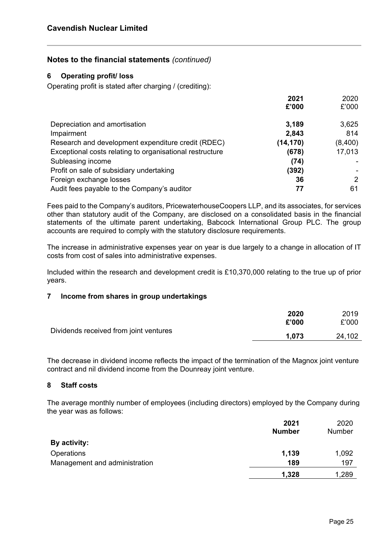#### **6 Operating profit/ loss**

Operating profit is stated after charging / (crediting):

|                                                          | 2021<br>£'000 | 2020<br>£'000  |
|----------------------------------------------------------|---------------|----------------|
| Depreciation and amortisation                            | 3,189         | 3,625          |
| Impairment                                               | 2,843         | 814            |
| Research and development expenditure credit (RDEC)       | (14, 170)     | (8,400)        |
| Exceptional costs relating to organisational restructure | (678)         | 17,013         |
| Subleasing income                                        | (74)          |                |
| Profit on sale of subsidiary undertaking                 | (392)         |                |
| Foreign exchange losses                                  | 36            | $\overline{2}$ |
| Audit fees payable to the Company's auditor              | 77            | 61             |

Fees paid to the Company's auditors, PricewaterhouseCoopers LLP, and its associates, for services other than statutory audit of the Company, are disclosed on a consolidated basis in the financial statements of the ultimate parent undertaking, Babcock International Group PLC. The group accounts are required to comply with the statutory disclosure requirements.

The increase in administrative expenses year on year is due largely to a change in allocation of IT costs from cost of sales into administrative expenses.

Included within the research and development credit is £10,370,000 relating to the true up of prior years.

#### **7 Income from shares in group undertakings**

|                                        | 2020  | 2019   |
|----------------------------------------|-------|--------|
| Dividends received from joint ventures | £'000 | £'000  |
|                                        | 1.073 | 24,102 |

The decrease in dividend income reflects the impact of the termination of the Magnox joint venture contract and nil dividend income from the Dounreay joint venture.

#### **8 Staff costs**

The average monthly number of employees (including directors) employed by the Company during the year was as follows:

|                               | 2021          | 2020   |
|-------------------------------|---------------|--------|
|                               | <b>Number</b> | Number |
| By activity:                  |               |        |
| Operations                    | 1,139         | 1,092  |
| Management and administration | 189           | 197    |
|                               | 1,328         | 1,289  |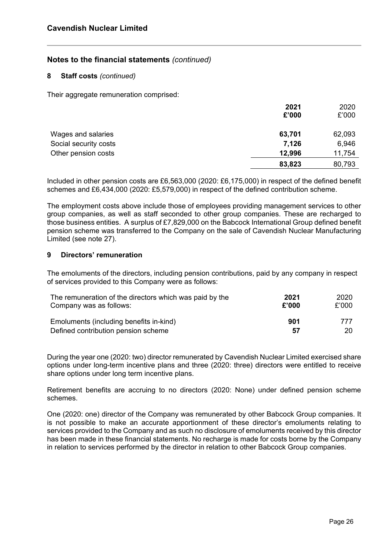#### **8 Staff costs** *(continued)*

Their aggregate remuneration comprised:

|                       | 2021   | 2020   |
|-----------------------|--------|--------|
|                       | £'000  | £'000  |
| Wages and salaries    | 63,701 | 62,093 |
| Social security costs | 7,126  | 6,946  |
| Other pension costs   | 12,996 | 11,754 |
|                       | 83,823 | 80,793 |

Included in other pension costs are £6,563,000 (2020: £6,175,000) in respect of the defined benefit schemes and £6,434,000 (2020: £5,579,000) in respect of the defined contribution scheme.

The employment costs above include those of employees providing management services to other group companies, as well as staff seconded to other group companies. These are recharged to those business entities. A surplus of £7,829,000 on the Babcock International Group defined benefit pension scheme was transferred to the Company on the sale of Cavendish Nuclear Manufacturing Limited (see note 27).

#### **9 Directors' remuneration**

The emoluments of the directors, including pension contributions, paid by any company in respect of services provided to this Company were as follows:

| The remuneration of the directors which was paid by the | 2021  | 2020  |
|---------------------------------------------------------|-------|-------|
| Company was as follows:                                 | £'000 | £'000 |
| Emoluments (including benefits in-kind)                 | 901   | 777   |
| Defined contribution pension scheme                     | 57    | 20    |

During the year one (2020: two) director remunerated by Cavendish Nuclear Limited exercised share options under long-term incentive plans and three (2020: three) directors were entitled to receive share options under long term incentive plans.

Retirement benefits are accruing to no directors (2020: None) under defined pension scheme schemes.

One (2020: one) director of the Company was remunerated by other Babcock Group companies. It is not possible to make an accurate apportionment of these director's emoluments relating to services provided to the Company and as such no disclosure of emoluments received by this director has been made in these financial statements. No recharge is made for costs borne by the Company in relation to services performed by the director in relation to other Babcock Group companies.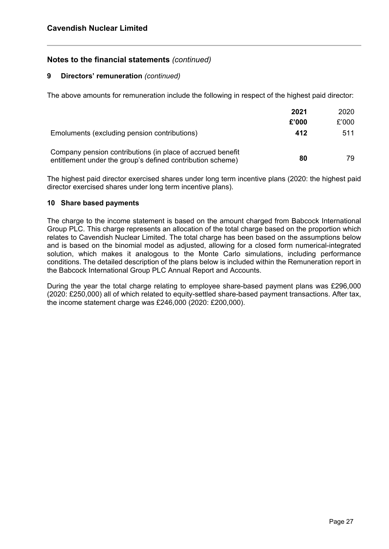#### **9 Directors' remuneration** *(continued)*

The above amounts for remuneration include the following in respect of the highest paid director:

|                                                                                                                          | 2021  | 2020  |
|--------------------------------------------------------------------------------------------------------------------------|-------|-------|
|                                                                                                                          | £'000 | £'000 |
| Emoluments (excluding pension contributions)                                                                             | 412   | 511   |
| Company pension contributions (in place of accrued benefit<br>entitlement under the group's defined contribution scheme) | 80    | 79.   |

The highest paid director exercised shares under long term incentive plans (2020: the highest paid director exercised shares under long term incentive plans).

#### **10 Share based payments**

The charge to the income statement is based on the amount charged from Babcock International Group PLC. This charge represents an allocation of the total charge based on the proportion which relates to Cavendish Nuclear Limited. The total charge has been based on the assumptions below and is based on the binomial model as adjusted, allowing for a closed form numerical-integrated solution, which makes it analogous to the Monte Carlo simulations, including performance conditions. The detailed description of the plans below is included within the Remuneration report in the Babcock International Group PLC Annual Report and Accounts.

During the year the total charge relating to employee share-based payment plans was £296,000 (2020: £250,000) all of which related to equity-settled share-based payment transactions. After tax, the income statement charge was £246,000 (2020: £200,000).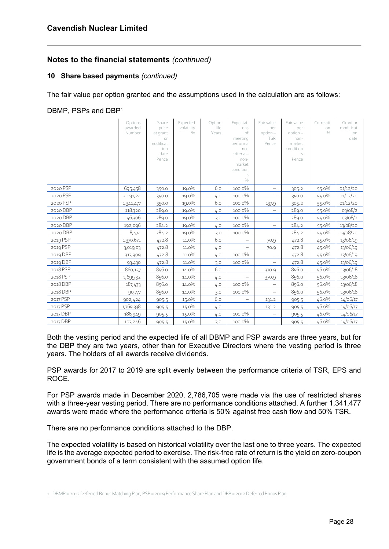## **10 Share based payments** *(continued)*

The fair value per option granted and the assumptions used in the calculation are as follows:

## DBMP, PSPs and DBP<sup>1</sup>

|          | Options<br>awarded<br>Number | Share<br>price<br>at grant<br>or<br>modificat<br>ion<br>date<br>Pence | Expected<br>volatility<br>$\frac{0}{0}$ | Option<br>life<br>Years | Expectati<br>ons<br>of<br>meeting<br>performa<br>nce<br>criteria -<br>non-<br>market<br>condition<br>S<br>$\frac{0}{0}$ | Fair value<br>per<br>option-<br><b>TSR</b><br>Pence | Fair value<br>per<br>option-<br>non-<br>market<br>condition<br>S<br>Pence | Correlati<br>on<br>0/6 | Grant or<br>modificat<br>ion<br>date |
|----------|------------------------------|-----------------------------------------------------------------------|-----------------------------------------|-------------------------|-------------------------------------------------------------------------------------------------------------------------|-----------------------------------------------------|---------------------------------------------------------------------------|------------------------|--------------------------------------|
| 2020 PSP | 695,458                      | 350.0                                                                 | 19.0%                                   | 6.0                     | 100.0%                                                                                                                  | -                                                   | 305.2                                                                     | 55.0%                  | 01/12/20                             |
| 2020 PSP | 2,091,24                     | 350.0                                                                 | 19.0%                                   | 4.0                     | 100.0%                                                                                                                  | $\overline{\phantom{0}}$                            | 350.0                                                                     | 55.0%                  | 01/12/20                             |
| 2020 PSP | 1,341,477                    | 350.0                                                                 | 19.0%                                   | 6.0                     | 100.0%                                                                                                                  | 137.9                                               | 305.2                                                                     | 55.0%                  | 01/12/20                             |
| 2020 DBP | 118,320                      | 289.0                                                                 | 19.0%                                   | 4.0                     | 100.0%                                                                                                                  | $\qquad \qquad -$                                   | 289.0                                                                     | 55.0%                  | 03/08/2                              |
| 2020 DBP | 146,306                      | 289.0                                                                 | 19.0%                                   | 3.0                     | 100.0%                                                                                                                  | $\overline{\phantom{0}}$                            | 289.0                                                                     | 55.0%                  | 03/08/2                              |
| 2020 DBP | 192,096                      | 284.2                                                                 | 19.0%                                   | 4.0                     | 100.0%                                                                                                                  | $\overline{\phantom{0}}$                            | 284.2                                                                     | 55.0%                  | 13/08/20                             |
| 2020 DBP | 8,474                        | 284.2                                                                 | 19.0%                                   | 3.0                     | 100.0%                                                                                                                  | $\qquad \qquad -$                                   | 284.2                                                                     | 55.0%                  | 13/08/20                             |
| 2019 PSP | 1,370,671                    | 472.8                                                                 | 11.0%                                   | 6.0                     |                                                                                                                         | 70.9                                                | 472.8                                                                     | 45.0%                  | 13/06/19                             |
| 2019 PSP | 3,019,03                     | 472.8                                                                 | 11.0%                                   | 4.0                     |                                                                                                                         | 70.9                                                | 472.8                                                                     | 45.0%                  | 13/06/19                             |
| 2019 DBP | 313,909                      | 472.8                                                                 | 11.0%                                   | 4.0                     | 100.0%                                                                                                                  | -                                                   | 472.8                                                                     | 45.0%                  | 13/06/19                             |
| 2019 DBP | 93,430                       | 472.8                                                                 | 11.0%                                   | 3.0                     | 100.0%                                                                                                                  |                                                     | 472.8                                                                     | 45.0%                  | 13/06/19                             |
| 2018 PSP | 860,157                      | 856.0                                                                 | 14.0%                                   | 6.0                     | $\overline{\phantom{0}}$                                                                                                | 370.9                                               | 856.0                                                                     | 56.0%                  | 13/06/18                             |
| 2018 PSP | 1,699,32                     | 856.0                                                                 | 14.0%                                   | 4.0                     | -                                                                                                                       | 370.9                                               | 856.0                                                                     | 56.0%                  | 13/06/18                             |
| 2018 DBP | 187,433                      | 856.0                                                                 | 14.0%                                   | 4.0                     | 100.0%                                                                                                                  |                                                     | 856.0                                                                     | 56.0%                  | 13/06/18                             |
| 2018 DBP | 90,777                       | 856.0                                                                 | 14.0%                                   | 3.0                     | 100.0%                                                                                                                  | $\overline{\phantom{0}}$                            | 856.0                                                                     | 56.0%                  | 13/06/18                             |
| 2017 PSP | 902,424                      | 905.5                                                                 | 15.0%                                   | 6.0                     | $\overline{\phantom{0}}$                                                                                                | 131.2                                               | 905.5                                                                     | 46.0%                  | 14/06/17                             |
| 2017 PSP | 1,769,338                    | 905.5                                                                 | 15.0%                                   | 4.0                     | -                                                                                                                       | 131.2                                               | 905.5                                                                     | 46.0%                  | 14/06/17                             |
| 2017 DBP | 186,949                      | 905.5                                                                 | 15.0%                                   | 4.0                     | 100.0%                                                                                                                  |                                                     | 905.5                                                                     | 46.0%                  | 14/06/17                             |
| 2017 DBP | 103,246                      | 905.5                                                                 | 15.0%                                   | 3.0                     | 100.0%                                                                                                                  | $\qquad \qquad -$                                   | 905.5                                                                     | 46.0%                  | 14/06/17                             |

Both the vesting period and the expected life of all DBMP and PSP awards are three years, but for the DBP they are two years, other than for Executive Directors where the vesting period is three years. The holders of all awards receive dividends.

PSP awards for 2017 to 2019 are split evenly between the performance criteria of TSR, EPS and ROCE.

For PSP awards made in December 2020, 2,786,705 were made via the use of restricted shares with a three-year vesting period. There are no performance conditions attached. A further 1,341,477 awards were made where the performance criteria is 50% against free cash flow and 50% TSR.

There are no performance conditions attached to the DBP.

The expected volatility is based on historical volatility over the last one to three years. The expected life is the average expected period to exercise. The risk-free rate of return is the yield on zero-coupon government bonds of a term consistent with the assumed option life.

1. DBMP = 2012 Deferred Bonus Matching Plan, PSP = 2009 Performance Share Plan and DBP = 2012 Deferred Bonus Plan.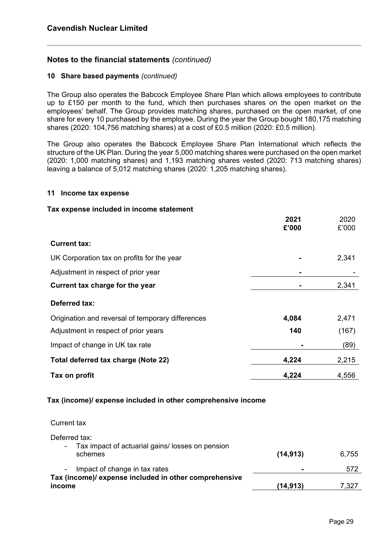#### **10 Share based payments** *(continued)*

The Group also operates the Babcock Employee Share Plan which allows employees to contribute up to £150 per month to the fund, which then purchases shares on the open market on the employees' behalf. The Group provides matching shares, purchased on the open market, of one share for every 10 purchased by the employee. During the year the Group bought 180,175 matching shares (2020: 104,756 matching shares) at a cost of £0.5 million (2020: £0.5 million).

The Group also operates the Babcock Employee Share Plan International which reflects the structure of the UK Plan. During the year 5,000 matching shares were purchased on the open market (2020: 1,000 matching shares) and 1,193 matching shares vested (2020: 713 matching shares) leaving a balance of 5,012 matching shares (2020: 1,205 matching shares).

#### **11 Income tax expense**

#### **Tax expense included in income statement**

|                                                              | 2021<br>£'000 | 2020<br>£'000 |
|--------------------------------------------------------------|---------------|---------------|
| <b>Current tax:</b>                                          |               |               |
| UK Corporation tax on profits for the year                   |               | 2,341         |
| Adjustment in respect of prior year                          |               |               |
| Current tax charge for the year                              |               | 2,341         |
| Deferred tax:                                                |               |               |
| Origination and reversal of temporary differences            | 4,084         | 2,471         |
| Adjustment in respect of prior years                         | 140           | (167)         |
| Impact of change in UK tax rate                              |               | (89)          |
| Total deferred tax charge (Note 22)                          | 4,224         | 2,215         |
| Tax on profit                                                | 4,224         | 4,556         |
| Tax (income)/ expense included in other comprehensive income |               |               |

Current tax

| Deferred tax:<br>Tax impact of actuarial gains/ losses on pension<br>$\blacksquare$ |                |       |
|-------------------------------------------------------------------------------------|----------------|-------|
| schemes                                                                             | (14.913)       | 6,755 |
| Impact of change in tax rates<br>$\sim$ $\sim$                                      | $\blacksquare$ | 572   |
| Tax (income)/ expense included in other comprehensive<br>income                     | (14,913)       | 7,327 |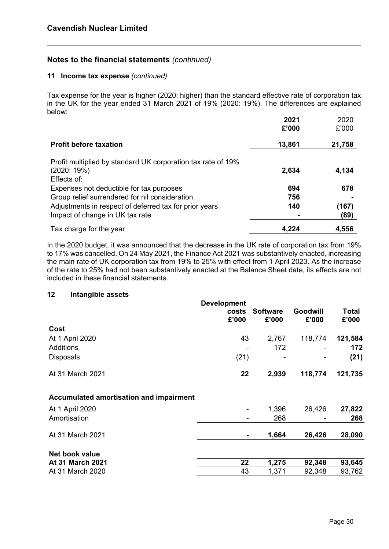#### **11 Income tax expense** *(continued)*

Tax expense for the year is higher (2020: higher) than the standard effective rate of corporation tax in the UK for the year ended 31 March 2021 of 19% (2020: 19%). The differences are explained below:

|                                                                                           | 2021<br>£'000 | 2020<br>£'000 |
|-------------------------------------------------------------------------------------------|---------------|---------------|
| <b>Profit before taxation</b>                                                             | 13,861        | 21,758        |
| Profit multiplied by standard UK corporation tax rate of 19%<br>(2020:19%)<br>Effects of: | 2,634         | 4,134         |
| Expenses not deductible for tax purposes                                                  | 694           | 678           |
| Group relief surrendered for nil consideration                                            | 756           |               |
| Adjustments in respect of deferred tax for prior years                                    | 140           | (167)         |
| Impact of change in UK tax rate                                                           |               | (89)          |
| Tax charge for the year                                                                   | 4,224         | 4,556         |

In the 2020 budget, it was announced that the decrease in the UK rate of corporation tax from 19% to 17% was cancelled. On 24 May 2021, the Finance Act 2021 was substantively enacted, increasing the main rate of UK corporation tax from 19% to 25% with effect from 1 April 2023. As the increase of the rate to 25% had not been substantively enacted at the Balance Sheet date, its effects are not included in these financial statements.

#### **12 Intangible assets**

|                                         | <b>Development</b><br>costs<br>£'000 | <b>Software</b><br>£'000 | Goodwill<br>£'000 | Total<br>£'000 |
|-----------------------------------------|--------------------------------------|--------------------------|-------------------|----------------|
| Cost                                    |                                      |                          |                   |                |
| At 1 April 2020                         | 43                                   | 2,767                    | 118,774           | 121,584        |
| Additions                               |                                      | 172                      |                   | 172            |
| <b>Disposals</b>                        | (21)                                 |                          |                   | (21)           |
| At 31 March 2021                        | 22                                   | 2,939                    | 118,774           | 121,735        |
| Accumulated amortisation and impairment |                                      |                          |                   |                |
| At 1 April 2020                         |                                      | 1,396                    | 26,426            | 27,822         |
| Amortisation                            |                                      | 268                      |                   | 268            |
| At 31 March 2021                        |                                      | 1,664                    | 26,426            | 28,090         |
| Net book value                          |                                      |                          |                   |                |
| At 31 March 2021                        | 22                                   | 1,275                    | 92,348            | 93,645         |
| At 31 March 2020                        | 43                                   | 1,371                    | 92,348            | 93,762         |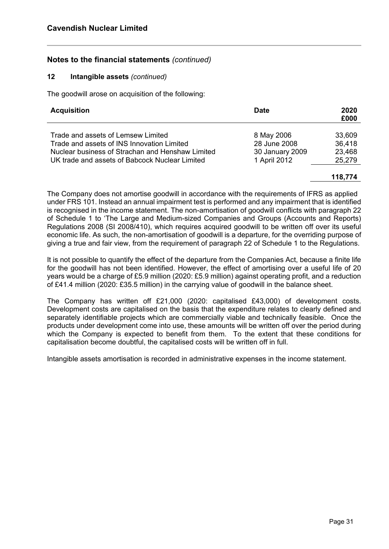#### **12 Intangible assets** *(continued)*

The goodwill arose on acquisition of the following:

| <b>Acquisition</b>                               | <b>Date</b>     | 2020<br>£000 |
|--------------------------------------------------|-----------------|--------------|
| Trade and assets of Lemsew Limited               | 8 May 2006      | 33,609       |
| Trade and assets of INS Innovation Limited       | 28 June 2008    | 36,418       |
| Nuclear business of Strachan and Henshaw Limited | 30 January 2009 | 23,468       |
| UK trade and assets of Babcock Nuclear Limited   | 1 April 2012    | 25,279       |

#### **118,774**

The Company does not amortise goodwill in accordance with the requirements of IFRS as applied under FRS 101. Instead an annual impairment test is performed and any impairment that is identified is recognised in the income statement. The non-amortisation of goodwill conflicts with paragraph 22 of Schedule 1 to 'The Large and Medium-sized Companies and Groups (Accounts and Reports) Regulations 2008 (SI 2008/410), which requires acquired goodwill to be written off over its useful economic life. As such, the non-amortisation of goodwill is a departure, for the overriding purpose of giving a true and fair view, from the requirement of paragraph 22 of Schedule 1 to the Regulations.

It is not possible to quantify the effect of the departure from the Companies Act, because a finite life for the goodwill has not been identified. However, the effect of amortising over a useful life of 20 years would be a charge of £5.9 million (2020: £5.9 million) against operating profit, and a reduction of £41.4 million (2020: £35.5 million) in the carrying value of goodwill in the balance sheet.

The Company has written off £21,000 (2020: capitalised £43,000) of development costs. Development costs are capitalised on the basis that the expenditure relates to clearly defined and separately identifiable projects which are commercially viable and technically feasible. Once the products under development come into use, these amounts will be written off over the period during which the Company is expected to benefit from them. To the extent that these conditions for capitalisation become doubtful, the capitalised costs will be written off in full.

Intangible assets amortisation is recorded in administrative expenses in the income statement.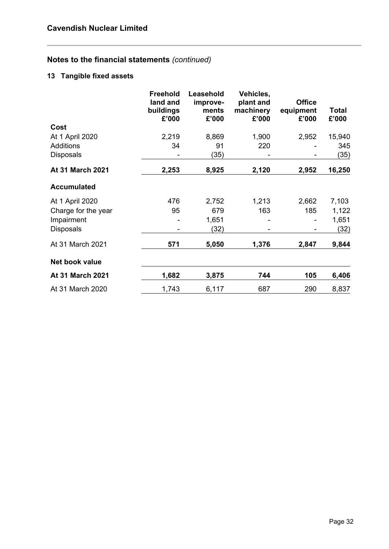## **13 Tangible fixed assets**

|                     | <b>Freehold</b><br>land and<br>buildings<br>£'000 | Leasehold<br>improve-<br>ments<br>£'000 | Vehicles,<br>plant and<br>machinery<br>£'000 | <b>Office</b><br>equipment<br>£'000 | Total<br>£'000 |
|---------------------|---------------------------------------------------|-----------------------------------------|----------------------------------------------|-------------------------------------|----------------|
| Cost                |                                                   |                                         |                                              |                                     |                |
| At 1 April 2020     | 2,219                                             | 8,869                                   | 1,900                                        | 2,952                               | 15,940         |
| <b>Additions</b>    | 34                                                | 91                                      | 220                                          |                                     | 345            |
| <b>Disposals</b>    |                                                   | (35)                                    |                                              |                                     | (35)           |
| At 31 March 2021    | 2,253                                             | 8,925                                   | 2,120                                        | 2,952                               | 16,250         |
| <b>Accumulated</b>  |                                                   |                                         |                                              |                                     |                |
| At 1 April 2020     | 476                                               | 2,752                                   | 1,213                                        | 2,662                               | 7,103          |
| Charge for the year | 95                                                | 679                                     | 163                                          | 185                                 | 1,122          |
| Impairment          |                                                   | 1,651                                   |                                              |                                     | 1,651          |
| <b>Disposals</b>    |                                                   | (32)                                    |                                              |                                     | (32)           |
| At 31 March 2021    | 571                                               | 5,050                                   | 1,376                                        | 2,847                               | 9,844          |
| Net book value      |                                                   |                                         |                                              |                                     |                |
| At 31 March 2021    | 1,682                                             | 3,875                                   | 744                                          | 105                                 | 6,406          |
| At 31 March 2020    | 1,743                                             | 6,117                                   | 687                                          | 290                                 | 8,837          |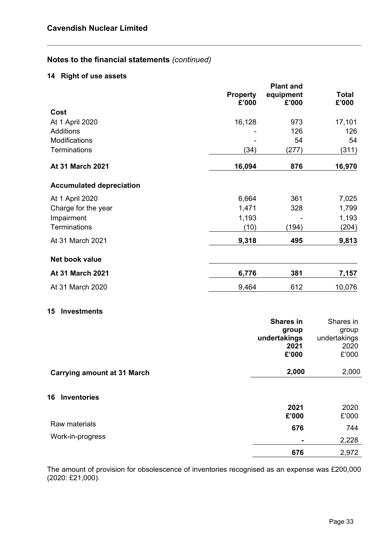## **14 Right of use assets**

|                                    | <b>Property</b> | <b>Plant and</b><br>equipment | <b>Total</b>  |
|------------------------------------|-----------------|-------------------------------|---------------|
|                                    | £'000           | £'000                         | £'000         |
| Cost                               |                 |                               |               |
| At 1 April 2020                    | 16,128          | 973                           | 17,101        |
| <b>Additions</b>                   |                 | 126                           | 126           |
| Modifications                      |                 | 54                            | 54            |
| Terminations                       | (34)            | (277)                         | (311)         |
| At 31 March 2021                   | 16,094          | 876                           | 16,970        |
| <b>Accumulated depreciation</b>    |                 |                               |               |
| At 1 April 2020                    | 6,664           | 361                           | 7,025         |
| Charge for the year                | 1,471           | 328                           | 1,799         |
| Impairment                         | 1,193           |                               | 1,193         |
| Terminations                       | (10)            | (194)                         | (204)         |
| At 31 March 2021                   | 9,318           | 495                           | 9,813         |
| Net book value                     |                 |                               |               |
| At 31 March 2021                   | 6,776           | 381                           | 7,157         |
| At 31 March 2020                   | 9,464           | 612                           | 10,076        |
| <b>Investments</b><br>15           |                 |                               |               |
|                                    |                 | <b>Shares in</b>              | Shares in     |
|                                    |                 | group                         | group         |
|                                    |                 | undertakings                  | undertakings  |
|                                    |                 | 2021<br>£'000                 | 2020<br>£'000 |
|                                    |                 |                               |               |
| <b>Carrying amount at 31 March</b> |                 | 2,000                         | 2,000         |
| <b>Inventories</b><br>16           |                 |                               |               |
|                                    |                 | 2021                          | 2020          |
|                                    |                 | £'000                         | £'000         |
| Raw materials                      |                 | 676                           | 744           |
| Work-in-progress                   |                 |                               | 2,228         |
|                                    |                 | 676                           | 2,972         |

The amount of provision for obsolescence of inventories recognised as an expense was £200,000 (2020: £21,000).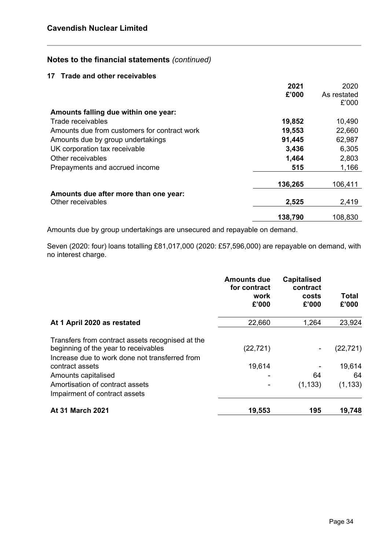#### **17 Trade and other receivables**

|                                              | 2021    | 2020        |
|----------------------------------------------|---------|-------------|
|                                              | £'000   | As restated |
|                                              |         | £'000       |
| Amounts falling due within one year:         |         |             |
| Trade receivables                            | 19,852  | 10,490      |
| Amounts due from customers for contract work | 19,553  | 22,660      |
| Amounts due by group undertakings            | 91,445  | 62,987      |
| UK corporation tax receivable                | 3,436   | 6,305       |
| Other receivables                            | 1,464   | 2,803       |
| Prepayments and accrued income               | 515     | 1,166       |
|                                              |         |             |
|                                              | 136,265 | 106,411     |
| Amounts due after more than one year:        |         |             |
| Other receivables                            | 2,525   | 2,419       |
|                                              | 138,790 | 108,830     |
|                                              |         |             |

Amounts due by group undertakings are unsecured and repayable on demand.

Seven (2020: four) loans totalling £81,017,000 (2020: £57,596,000) are repayable on demand, with no interest charge.

|                                                                                                                                            | <b>Amounts due</b><br>for contract<br>work<br>£'000 | <b>Capitalised</b><br>contract<br>costs<br>£'000 | Total<br>£'000 |
|--------------------------------------------------------------------------------------------------------------------------------------------|-----------------------------------------------------|--------------------------------------------------|----------------|
| At 1 April 2020 as restated                                                                                                                | 22,660                                              | 1,264                                            | 23,924         |
| Transfers from contract assets recognised at the<br>beginning of the year to receivables<br>Increase due to work done not transferred from | (22, 721)                                           | $\overline{\phantom{a}}$                         | (22, 721)      |
| contract assets                                                                                                                            | 19,614                                              |                                                  | 19,614         |
| Amounts capitalised                                                                                                                        |                                                     | 64                                               | 64             |
| Amortisation of contract assets<br>Impairment of contract assets                                                                           |                                                     | (1, 133)                                         | (1, 133)       |
| <b>At 31 March 2021</b>                                                                                                                    | 19,553                                              | 195                                              | 19,748         |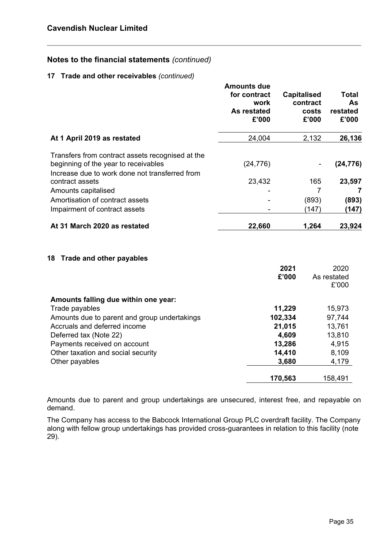#### **17 Trade and other receivables** *(continued)*

|                                                                                                                                            | <b>Amounts due</b><br>for contract<br>work<br>As restated<br>£'000 | <b>Capitalised</b><br>contract<br>costs<br>£'000 | Total<br>As<br>restated<br>£'000 |
|--------------------------------------------------------------------------------------------------------------------------------------------|--------------------------------------------------------------------|--------------------------------------------------|----------------------------------|
| At 1 April 2019 as restated                                                                                                                | 24,004                                                             | 2,132                                            | 26,136                           |
| Transfers from contract assets recognised at the<br>beginning of the year to receivables<br>Increase due to work done not transferred from | (24, 776)                                                          |                                                  | (24, 776)                        |
| contract assets                                                                                                                            | 23,432                                                             | 165                                              | 23,597                           |
| Amounts capitalised                                                                                                                        |                                                                    | $\overline{7}$                                   | 7                                |
| Amortisation of contract assets                                                                                                            |                                                                    | (893)                                            | (893)                            |
| Impairment of contract assets                                                                                                              |                                                                    | (147)                                            | (147)                            |
| At 31 March 2020 as restated                                                                                                               | 22,660                                                             | 1,264                                            | 23,924                           |
| <b>Trade and other payables</b><br>18                                                                                                      |                                                                    |                                                  |                                  |
|                                                                                                                                            |                                                                    | 2021                                             | 2020                             |
|                                                                                                                                            |                                                                    | £'000                                            | As restated<br>£'000             |
| Amounts falling due within one year:                                                                                                       |                                                                    |                                                  |                                  |
| Trade payables                                                                                                                             |                                                                    | 11,229                                           | 15,973                           |
| Amounts due to parent and group undertakings                                                                                               |                                                                    | 102,334                                          | 97,744                           |
| Accruals and deferred income                                                                                                               |                                                                    | 21,015                                           | 13,761                           |
| Deferred tax (Note 22)                                                                                                                     |                                                                    | 4,609                                            | 13,810                           |
| Payments received on account                                                                                                               |                                                                    | 13,286                                           | 4,915                            |
| Other taxation and social security                                                                                                         |                                                                    | 14,410                                           | 8,109                            |
| Other payables                                                                                                                             |                                                                    | 3,680                                            | 4,179                            |

Amounts due to parent and group undertakings are unsecured, interest free, and repayable on demand.

The Company has access to the Babcock International Group PLC overdraft facility. The Company along with fellow group undertakings has provided cross-guarantees in relation to this facility (note 29).

**170,563** 158,491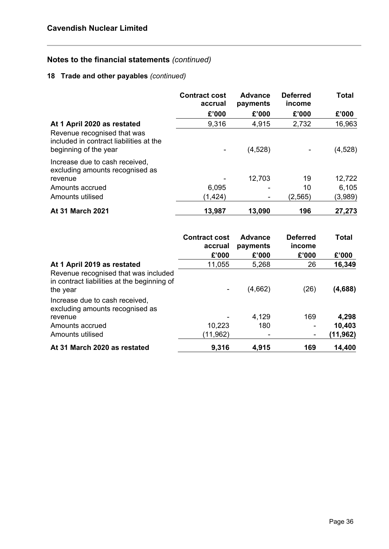## **18 Trade and other payables** *(continued)*

|                                                                                                 | <b>Contract cost</b><br>accrual | <b>Advance</b><br>payments | <b>Deferred</b><br>income | <b>Total</b> |
|-------------------------------------------------------------------------------------------------|---------------------------------|----------------------------|---------------------------|--------------|
|                                                                                                 | £'000                           | £'000                      | £'000                     | £'000        |
| At 1 April 2020 as restated                                                                     | 9,316                           | 4,915                      | 2,732                     | 16,963       |
| Revenue recognised that was<br>included in contract liabilities at the<br>beginning of the year | $\blacksquare$                  | (4,528)                    |                           | (4,528)      |
| Increase due to cash received,<br>excluding amounts recognised as                               |                                 |                            |                           |              |
| revenue                                                                                         |                                 | 12,703                     | 19                        | 12,722       |
| Amounts accrued                                                                                 | 6,095                           |                            | 10                        | 6,105        |
| Amounts utilised                                                                                | (1, 424)                        |                            | (2,565)                   | (3,989)      |
| At 31 March 2021                                                                                | 13,987                          | 13,090                     | 196                       | 27,273       |

|                                                                                                 | <b>Contract cost</b><br>accrual | Advance<br>payments | <b>Deferred</b><br>income | <b>Total</b> |
|-------------------------------------------------------------------------------------------------|---------------------------------|---------------------|---------------------------|--------------|
|                                                                                                 | £'000                           | £'000               | £'000                     | £'000        |
| At 1 April 2019 as restated                                                                     | 11,055                          | 5,268               | 26                        | 16,349       |
| Revenue recognised that was included<br>in contract liabilities at the beginning of<br>the year |                                 | (4,662)             | (26)                      | (4,688)      |
| Increase due to cash received,<br>excluding amounts recognised as                               |                                 |                     |                           |              |
| revenue                                                                                         |                                 | 4,129               | 169                       | 4,298        |
| Amounts accrued                                                                                 | 10,223                          | 180                 | ۰                         | 10,403       |
| Amounts utilised                                                                                | (11,962)                        |                     | $\overline{\phantom{a}}$  | (11,962)     |
| At 31 March 2020 as restated                                                                    | 9,316                           | 4,915               | 169                       | 14,400       |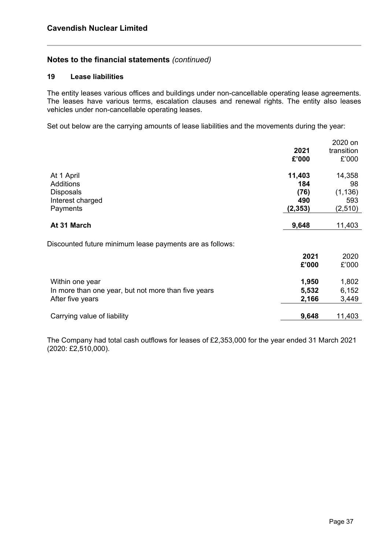#### **19 Lease liabilities**

The entity leases various offices and buildings under non-cancellable operating lease agreements. The leases have various terms, escalation clauses and renewal rights. The entity also leases vehicles under non-cancellable operating leases.

Set out below are the carrying amounts of lease liabilities and the movements during the year:

|                                                          |          | 2020 on    |
|----------------------------------------------------------|----------|------------|
|                                                          | 2021     | transition |
|                                                          | £'000    | £'000      |
| At 1 April                                               | 11,403   | 14,358     |
| <b>Additions</b>                                         | 184      | 98         |
| <b>Disposals</b>                                         | (76)     | (1, 136)   |
| Interest charged                                         | 490      | 593        |
| Payments                                                 | (2, 353) | (2, 510)   |
|                                                          |          |            |
| At 31 March                                              | 9,648    | 11,403     |
|                                                          |          |            |
| Discounted future minimum lease payments are as follows: |          |            |
|                                                          | 2021     | 2020       |
|                                                          | £'000    | £'000      |
| Within one year                                          | 1,950    | 1,802      |
| In more than one year, but not more than five years      | 5,532    | 6,152      |
| After five years                                         | 2,166    | 3,449      |
|                                                          |          |            |
| Carrying value of liability                              | 9,648    | 11,403     |

The Company had total cash outflows for leases of £2,353,000 for the year ended 31 March 2021 (2020: £2,510,000).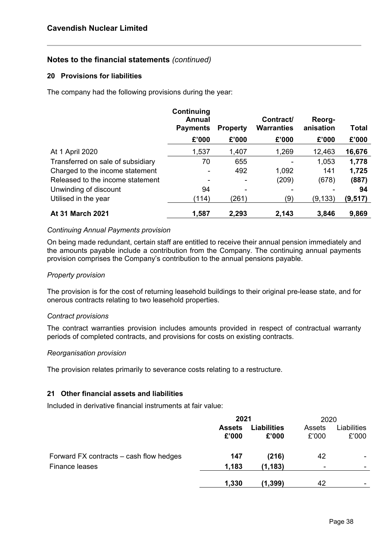#### **20 Provisions for liabilities**

The company had the following provisions during the year:

|                                   | Continuing<br><b>Annual</b><br><b>Payments</b> | <b>Property</b> | Contract/<br><b>Warranties</b> | Reorg-<br>anisation | Total    |
|-----------------------------------|------------------------------------------------|-----------------|--------------------------------|---------------------|----------|
|                                   | £'000                                          | £'000           | £'000                          | £'000               | £'000    |
| At 1 April 2020                   | 1,537                                          | 1,407           | 1,269                          | 12,463              | 16,676   |
| Transferred on sale of subsidiary | 70                                             | 655             |                                | 1,053               | 1,778    |
| Charged to the income statement   |                                                | 492             | 1,092                          | 141                 | 1,725    |
| Released to the income statement  |                                                |                 | (209)                          | (678)               | (887)    |
| Unwinding of discount             | 94                                             |                 | -                              |                     | 94       |
| Utilised in the year              | (114)                                          | (261)           | (9)                            | (9, 133)            | (9, 517) |
| <b>At 31 March 2021</b>           | 1,587                                          | 2,293           | 2,143                          | 3,846               | 9,869    |

#### *Continuing Annual Payments provision*

On being made redundant, certain staff are entitled to receive their annual pension immediately and the amounts payable include a contribution from the Company. The continuing annual payments provision comprises the Company's contribution to the annual pensions payable.

#### *Property provision*

The provision is for the cost of returning leasehold buildings to their original pre-lease state, and for onerous contracts relating to two leasehold properties.

#### *Contract provisions*

The contract warranties provision includes amounts provided in respect of contractual warranty periods of completed contracts, and provisions for costs on existing contracts.

#### *Reorganisation provision*

The provision relates primarily to severance costs relating to a restructure.

#### **21 Other financial assets and liabilities**

Included in derivative financial instruments at fair value:

|                                         | 2021                   |                             | 2020                     |                      |
|-----------------------------------------|------------------------|-----------------------------|--------------------------|----------------------|
|                                         | <b>Assets</b><br>£'000 | <b>Liabilities</b><br>£'000 | Assets<br>£'000          | Liabilities<br>£'000 |
| Forward FX contracts – cash flow hedges | 147                    | (216)                       | 42                       |                      |
| Finance leases                          | 1,183                  | (1, 183)                    | $\overline{\phantom{a}}$ |                      |
|                                         | 1,330                  | (1, 399)                    | 42                       |                      |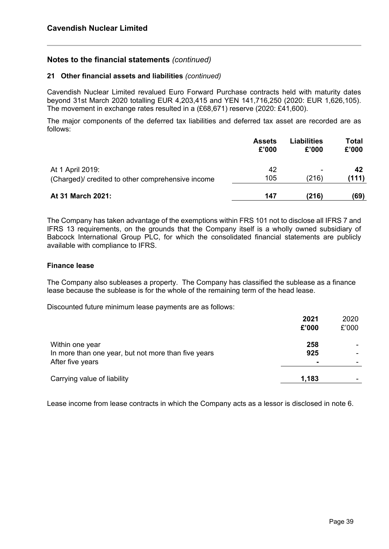#### **21 Other financial assets and liabilities** *(continued)*

Cavendish Nuclear Limited revalued Euro Forward Purchase contracts held with maturity dates beyond 31st March 2020 totalling EUR 4,203,415 and YEN 141,716,250 (2020: EUR 1,626,105). The movement in exchange rates resulted in a (£68,671) reserve (2020: £41,600).

The major components of the deferred tax liabilities and deferred tax asset are recorded are as follows:

|                                                  | <b>Assets</b> | <b>Liabilities</b> | Total |
|--------------------------------------------------|---------------|--------------------|-------|
|                                                  | £'000         | £'000              | £'000 |
| At 1 April 2019:                                 | 42            | ۰                  | 42    |
| (Charged) credited to other comprehensive income | 105           | (216)              | (111) |
| At 31 March 2021:                                | 147           | (216)              | (69)  |

The Company has taken advantage of the exemptions within FRS 101 not to disclose all IFRS 7 and IFRS 13 requirements, on the grounds that the Company itself is a wholly owned subsidiary of Babcock International Group PLC, for which the consolidated financial statements are publicly available with compliance to IFRS.

#### **Finance lease**

The Company also subleases a property. The Company has classified the sublease as a finance lease because the sublease is for the whole of the remaining term of the head lease.

Discounted future minimum lease payments are as follows:

|                                                                                            | 2021<br>£'000                | 2020<br>£'000 |
|--------------------------------------------------------------------------------------------|------------------------------|---------------|
| Within one year<br>In more than one year, but not more than five years<br>After five years | 258<br>925<br>$\blacksquare$ |               |
| Carrying value of liability                                                                | 1,183                        |               |

Lease income from lease contracts in which the Company acts as a lessor is disclosed in note 6.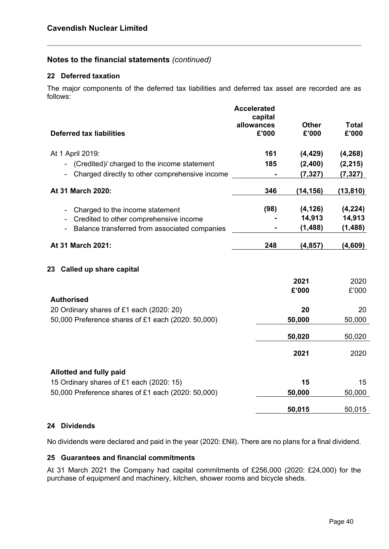#### **22 Deferred taxation**

The major components of the deferred tax liabilities and deferred tax asset are recorded are as follows:

| <b>Deferred tax liabilities</b>                    | <b>Accelerated</b><br>capital<br>allowances<br>£'000 | <b>Other</b><br>£'000 | <b>Total</b><br>£'000 |
|----------------------------------------------------|------------------------------------------------------|-----------------------|-----------------------|
| At 1 April 2019:                                   | 161                                                  | (4, 429)              | (4, 268)              |
| (Credited)/ charged to the income statement        | 185                                                  | (2,400)               | (2, 215)              |
| Charged directly to other comprehensive income     |                                                      | (7, 327)              | (7, 327)              |
| At 31 March 2020:                                  | 346                                                  | (14, 156)             | (13,810)              |
| Charged to the income statement                    | (98)                                                 | (4, 126)              | (4,224)               |
| Credited to other comprehensive income             |                                                      | 14,913                | 14,913                |
| Balance transferred from associated companies      |                                                      | (1, 488)              | (1, 488)              |
| At 31 March 2021:                                  | 248                                                  | (4, 857)              | (4,609)               |
| 23 Called up share capital                         |                                                      |                       |                       |
|                                                    |                                                      | 2021                  | 2020                  |
|                                                    |                                                      | £'000                 | £'000                 |
| <b>Authorised</b>                                  |                                                      |                       |                       |
| 20 Ordinary shares of £1 each (2020: 20)           |                                                      | 20                    | 20                    |
| 50,000 Preference shares of £1 each (2020: 50,000) |                                                      | 50,000                | 50,000                |
|                                                    |                                                      | 50,020                | 50,020                |
|                                                    |                                                      | 2021                  | 2020                  |
| <b>Allotted and fully paid</b>                     |                                                      |                       |                       |
| 15 Ordinary shares of £1 each (2020: 15)           |                                                      | 15                    | 15                    |
| 50,000 Preference shares of £1 each (2020: 50,000) |                                                      | 50,000                | 50,000                |
|                                                    |                                                      | 50,015                | 50,015                |
|                                                    |                                                      |                       |                       |

#### **24 Dividends**

No dividends were declared and paid in the year (2020: £Nil). There are no plans for a final dividend.

#### **25 Guarantees and financial commitments**

At 31 March 2021 the Company had capital commitments of £256,000 (2020: £24,000) for the purchase of equipment and machinery, kitchen, shower rooms and bicycle sheds.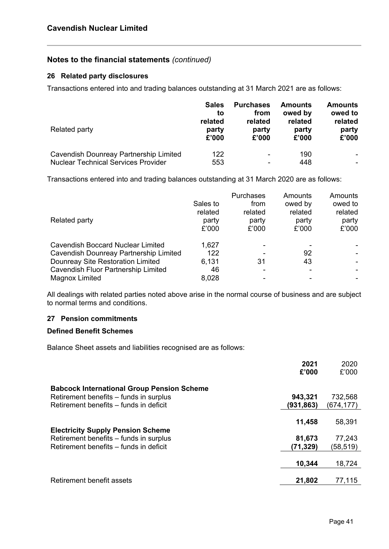#### **26 Related party disclosures**

Transactions entered into and trading balances outstanding at 31 March 2021 are as follows:

| Related party                              | <b>Sales</b><br>to<br>related<br>party<br>£'000 | <b>Purchases</b><br>from<br>related<br>party<br>£'000 | <b>Amounts</b><br>owed by<br>related<br>party<br>£'000 | <b>Amounts</b><br>owed to<br>related<br>party<br>£'000 |
|--------------------------------------------|-------------------------------------------------|-------------------------------------------------------|--------------------------------------------------------|--------------------------------------------------------|
| Cavendish Dounreay Partnership Limited     | 122                                             | $\overline{\phantom{0}}$                              | 190                                                    |                                                        |
| <b>Nuclear Technical Services Provider</b> | 553                                             | -                                                     | 448                                                    | ۰                                                      |

Transactions entered into and trading balances outstanding at 31 March 2020 are as follows:

|                                          |          | <b>Purchases</b> | Amounts | Amounts |
|------------------------------------------|----------|------------------|---------|---------|
|                                          | Sales to | from             | owed by | owed to |
|                                          | related  | related          | related | related |
| Related party                            | party    | party            | party   | party   |
|                                          | £'000    | £'000            | £'000   | £'000   |
| <b>Cavendish Boccard Nuclear Limited</b> | 1,627    |                  |         |         |
| Cavendish Dounreay Partnership Limited   | 122      |                  | 92      |         |
| Dounreay Site Restoration Limited        | 6,131    | 31               | 43      |         |
| Cavendish Fluor Partnership Limited      | 46       |                  |         |         |
| <b>Magnox Limited</b>                    | 8,028    |                  |         |         |

All dealings with related parties noted above arise in the normal course of business and are subject to normal terms and conditions.

## **27 Pension commitments**

#### **Defined Benefit Schemes**

Balance Sheet assets and liabilities recognised are as follows:

|                                                   | 2021<br>£'000 | 2020<br>£'000 |
|---------------------------------------------------|---------------|---------------|
| <b>Babcock International Group Pension Scheme</b> |               |               |
| Retirement benefits – funds in surplus            | 943,321       | 732,568       |
| Retirement benefits – funds in deficit            | (931,863)     | (674,177)     |
|                                                   |               |               |
| <b>Electricity Supply Pension Scheme</b>          | 11,458        | 58,391        |
| Retirement benefits – funds in surplus            | 81,673        | 77,243        |
| Retirement benefits – funds in deficit            | (71, 329)     | (58,519)      |
|                                                   |               |               |
|                                                   | 10,344        | 18,724        |
| Retirement benefit assets                         | 21,802        | 77,115        |
|                                                   |               |               |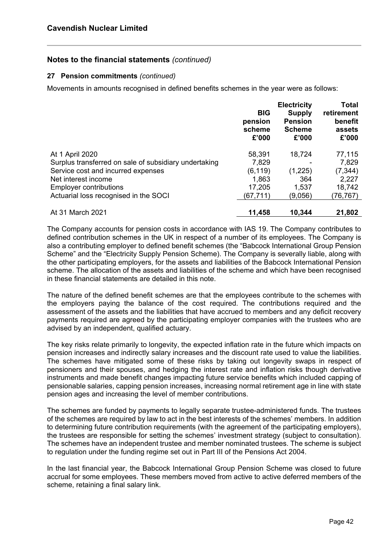#### **27 Pension commitments** *(continued)*

Movements in amounts recognised in defined benefits schemes in the year were as follows:

|                                                       | <b>BIG</b><br>pension<br>scheme<br>£'000 | <b>Electricity</b><br><b>Supply</b><br><b>Pension</b><br><b>Scheme</b><br>£'000 | Total<br>retirement<br>benefit<br>assets<br>£'000 |
|-------------------------------------------------------|------------------------------------------|---------------------------------------------------------------------------------|---------------------------------------------------|
| At 1 April 2020                                       | 58,391                                   | 18,724                                                                          | 77,115                                            |
| Surplus transferred on sale of subsidiary undertaking | 7,829                                    |                                                                                 | 7,829                                             |
| Service cost and incurred expenses                    | (6, 119)                                 | (1,225)                                                                         | (7, 344)                                          |
| Net interest income                                   | 1,863                                    | 364                                                                             | 2,227                                             |
| <b>Employer contributions</b>                         | 17,205                                   | 1,537                                                                           | 18,742                                            |
| Actuarial loss recognised in the SOCI                 | (67,711)                                 | (9,056)                                                                         | (76, 767)                                         |
| At 31 March 2021                                      | 11,458                                   | 10,344                                                                          | 21,802                                            |

The Company accounts for pension costs in accordance with IAS 19. The Company contributes to defined contribution schemes in the UK in respect of a number of its employees. The Company is also a contributing employer to defined benefit schemes (the "Babcock International Group Pension Scheme" and the "Electricity Supply Pension Scheme). The Company is severally liable, along with the other participating employers, for the assets and liabilities of the Babcock International Pension scheme. The allocation of the assets and liabilities of the scheme and which have been recognised in these financial statements are detailed in this note.

The nature of the defined benefit schemes are that the employees contribute to the schemes with the employers paying the balance of the cost required. The contributions required and the assessment of the assets and the liabilities that have accrued to members and any deficit recovery payments required are agreed by the participating employer companies with the trustees who are advised by an independent, qualified actuary.

The key risks relate primarily to longevity, the expected inflation rate in the future which impacts on pension increases and indirectly salary increases and the discount rate used to value the liabilities. The schemes have mitigated some of these risks by taking out longevity swaps in respect of pensioners and their spouses, and hedging the interest rate and inflation risks though derivative instruments and made benefit changes impacting future service benefits which included capping of pensionable salaries, capping pension increases, increasing normal retirement age in line with state pension ages and increasing the level of member contributions.

The schemes are funded by payments to legally separate trustee-administered funds. The trustees of the schemes are required by law to act in the best interests of the schemes' members. In addition to determining future contribution requirements (with the agreement of the participating employers), the trustees are responsible for setting the schemes' investment strategy (subject to consultation). The schemes have an independent trustee and member nominated trustees. The scheme is subject to regulation under the funding regime set out in Part III of the Pensions Act 2004.

In the last financial year, the Babcock International Group Pension Scheme was closed to future accrual for some employees. These members moved from active to active deferred members of the scheme, retaining a final salary link.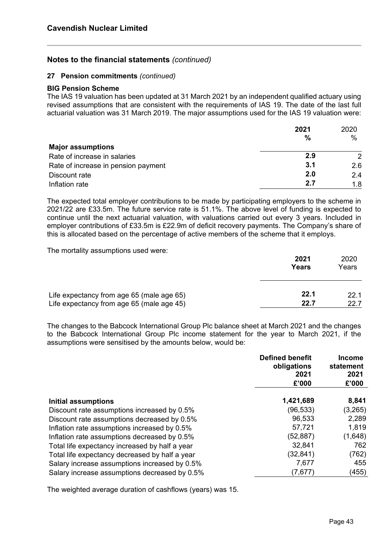#### **27 Pension commitments** *(continued)*

#### **BIG Pension Scheme**

The IAS 19 valuation has been updated at 31 March 2021 by an independent qualified actuary using revised assumptions that are consistent with the requirements of IAS 19. The date of the last full actuarial valuation was 31 March 2019. The major assumptions used for the IAS 19 valuation were:

|                                     | 2021          | 2020          |
|-------------------------------------|---------------|---------------|
| <b>Major assumptions</b>            | $\frac{0}{0}$ | $\frac{0}{0}$ |
| Rate of increase in salaries        | 2.9           | $\mathcal{P}$ |
| Rate of increase in pension payment | 3.1           | 2.6           |
| Discount rate                       | 2.0           | 2.4           |
| Inflation rate                      | 2.7           | 1.8           |

The expected total employer contributions to be made by participating employers to the scheme in 2021/22 are £33.5m. The future service rate is 51.1%. The above level of funding is expected to continue until the next actuarial valuation, with valuations carried out every 3 years. Included in employer contributions of £33.5m is £22.9m of deficit recovery payments. The Company's share of this is allocated based on the percentage of active members of the scheme that it employs.

The mortality assumptions used were:

|                                           | 2021<br>Years | 2020<br>Years |
|-------------------------------------------|---------------|---------------|
| Life expectancy from age 65 (male age 65) | 22.1          | 221           |
| Life expectancy from age 65 (male age 45) | 22.7          | 22 Z          |

The changes to the Babcock International Group Plc balance sheet at March 2021 and the changes to the Babcock International Group Plc income statement for the year to March 2021, if the assumptions were sensitised by the amounts below, would be:

|                                                | <b>Defined benefit</b><br>obligations<br>2021<br>£'000 | Income<br>statement<br>2021<br>£'000 |
|------------------------------------------------|--------------------------------------------------------|--------------------------------------|
| Initial assumptions                            | 1,421,689                                              | 8,841                                |
| Discount rate assumptions increased by 0.5%    | (96,533)                                               | (3,265)                              |
| Discount rate assumptions decreased by 0.5%    | 96,533                                                 | 2,289                                |
| Inflation rate assumptions increased by 0.5%   | 57,721                                                 | 1,819                                |
| Inflation rate assumptions decreased by 0.5%   | (52,887)                                               | (1,648)                              |
| Total life expectancy increased by half a year | 32,841                                                 | 762                                  |
| Total life expectancy decreased by half a year | (32,841)                                               | (762)                                |
| Salary increase assumptions increased by 0.5%  | 7,677                                                  | 455                                  |
| Salary increase assumptions decreased by 0.5%  | (7,677)                                                | (455)                                |

The weighted average duration of cashflows (years) was 15.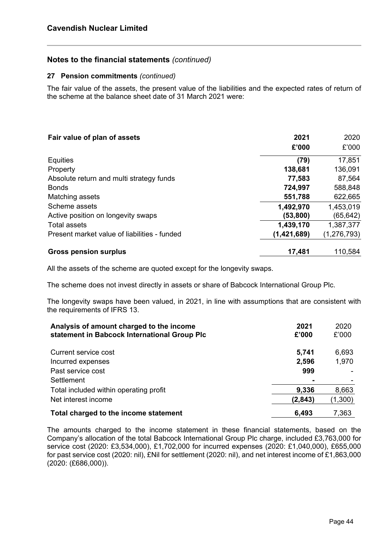#### **27 Pension commitments** *(continued)*

The fair value of the assets, the present value of the liabilities and the expected rates of return of the scheme at the balance sheet date of 31 March 2021 were:

| Fair value of plan of assets                 | 2021        | 2020          |
|----------------------------------------------|-------------|---------------|
|                                              | £'000       | £'000         |
| Equities                                     | (79)        | 17,851        |
| Property                                     | 138,681     | 136,091       |
| Absolute return and multi strategy funds     | 77,583      | 87,564        |
| <b>Bonds</b>                                 | 724,997     | 588,848       |
| Matching assets                              | 551,788     | 622,665       |
| Scheme assets                                | 1,492,970   | 1,453,019     |
| Active position on longevity swaps           | (53, 800)   | (65,642)      |
| Total assets                                 | 1,439,170   | 1,387,377     |
| Present market value of liabilities - funded | (1,421,689) | (1, 276, 793) |
| <b>Gross pension surplus</b>                 | 17,481      | 110,584       |

All the assets of the scheme are quoted except for the longevity swaps.

The scheme does not invest directly in assets or share of Babcock International Group Plc.

The longevity swaps have been valued, in 2021, in line with assumptions that are consistent with the requirements of IFRS 13.

| Analysis of amount charged to the income<br>statement in Babcock International Group Plc | 2021<br>£'000 | 2020<br>£'000 |
|------------------------------------------------------------------------------------------|---------------|---------------|
| Current service cost                                                                     | 5,741         | 6,693         |
| Incurred expenses                                                                        | 2,596         | 1,970         |
| Past service cost                                                                        | 999           |               |
| Settlement                                                                               |               |               |
| Total included within operating profit                                                   | 9,336         | 8,663         |
| Net interest income                                                                      | (2,843)       | (1,300)       |
| Total charged to the income statement                                                    | 6,493         | 7.363         |

The amounts charged to the income statement in these financial statements, based on the Company's allocation of the total Babcock International Group Plc charge, included £3,763,000 for service cost (2020: £3,534,000), £1,702,000 for incurred expenses (2020: £1,040,000), £655,000 for past service cost (2020: nil), £Nil for settlement (2020: nil), and net interest income of £1,863,000 (2020: (£686,000)).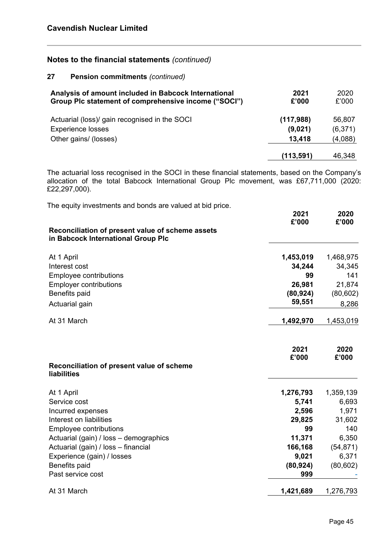#### **27 Pension commitments** *(continued)*

| Analysis of amount included in Babcock International<br>Group Plc statement of comprehensive income ("SOCI") | 2021<br>£'000 | 2020<br>£'000 |
|--------------------------------------------------------------------------------------------------------------|---------------|---------------|
| Actuarial (loss)/ gain recognised in the SOCI                                                                | (117,988)     | 56,807        |
| <b>Experience losses</b>                                                                                     | (9,021)       | (6,371)       |
| Other gains/ (losses)                                                                                        | 13,418        | (4,088)       |
|                                                                                                              | (113,591)     | 46,348        |

The actuarial loss recognised in the SOCI in these financial statements, based on the Company's allocation of the total Babcock International Group Plc movement, was £67,711,000 (2020: £22,297,000).

| The equity investments and bonds are valued at bid price.                              | 2021<br>£'000 | 2020<br>£'000 |
|----------------------------------------------------------------------------------------|---------------|---------------|
| Reconciliation of present value of scheme assets<br>in Babcock International Group Plc |               |               |
| At 1 April                                                                             | 1,453,019     | 1,468,975     |
| Interest cost                                                                          | 34,244        | 34,345        |
| <b>Employee contributions</b>                                                          | 99            | 141           |
| <b>Employer contributions</b>                                                          | 26,981        | 21,874        |
| Benefits paid                                                                          | (80, 924)     | (80, 602)     |
| Actuarial gain                                                                         | 59,551        | 8,286         |
| At 31 March                                                                            | 1,492,970     | 1,453,019     |
| Reconciliation of present value of scheme<br><b>liabilities</b>                        | 2021<br>£'000 | 2020<br>£'000 |
| At 1 April                                                                             | 1,276,793     | 1,359,139     |
| Service cost                                                                           | 5,741         | 6,693         |
| Incurred expenses                                                                      | 2,596         | 1,971         |
| Interest on liabilities                                                                | 29,825        | 31,602        |
| <b>Employee contributions</b>                                                          | 99            | 140           |
| Actuarial (gain) / loss - demographics                                                 | 11,371        | 6,350         |
| Actuarial (gain) / loss - financial                                                    | 166,168       | (54, 871)     |
| Experience (gain) / losses                                                             | 9,021         | 6,371         |
| Benefits paid                                                                          | (80, 924)     | (80, 602)     |
| Past service cost                                                                      | 999           |               |
| At 31 March                                                                            | 1,421,689     | 1,276,793     |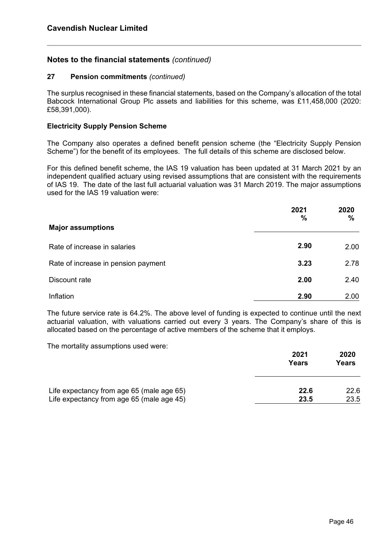#### **27 Pension commitments** *(continued)*

The surplus recognised in these financial statements, based on the Company's allocation of the total Babcock International Group Plc assets and liabilities for this scheme, was £11,458,000 (2020: £58,391,000).

#### **Electricity Supply Pension Scheme**

The Company also operates a defined benefit pension scheme (the "Electricity Supply Pension Scheme") for the benefit of its employees. The full details of this scheme are disclosed below.

For this defined benefit scheme, the IAS 19 valuation has been updated at 31 March 2021 by an independent qualified actuary using revised assumptions that are consistent with the requirements of IAS 19. The date of the last full actuarial valuation was 31 March 2019. The major assumptions used for the IAS 19 valuation were:

|                                     | 2021<br>$\%$ | 2020<br>$\frac{0}{0}$ |
|-------------------------------------|--------------|-----------------------|
| <b>Major assumptions</b>            |              |                       |
| Rate of increase in salaries        | 2.90         | 2.00                  |
| Rate of increase in pension payment | 3.23         | 2.78                  |
| Discount rate                       | 2.00         | 2.40                  |
| Inflation                           | 2.90         | 2.00                  |

The future service rate is 64.2%. The above level of funding is expected to continue until the next actuarial valuation, with valuations carried out every 3 years. The Company's share of this is allocated based on the percentage of active members of the scheme that it employs.

The mortality assumptions used were:

|                                           | 2021<br>Years | 2020<br>Years |
|-------------------------------------------|---------------|---------------|
| Life expectancy from age 65 (male age 65) | 22.6          | 22.6          |
| Life expectancy from age 65 (male age 45) | 23.5          | 23.5          |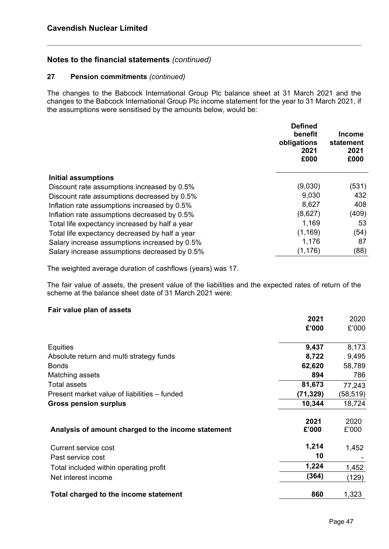#### **27 Pension commitments** *(continued)*

The changes to the Babcock International Group Plc balance sheet at 31 March 2021 and the changes to the Babcock International Group Plc income statement for the year to 31 March 2021, if the assumptions were sensitised by the amounts below, would be:

|                                                | <b>Defined</b><br>benefit<br>obligations<br>2021<br>£000 | <b>Income</b><br>statement<br>2021<br>£000 |
|------------------------------------------------|----------------------------------------------------------|--------------------------------------------|
| <b>Initial assumptions</b>                     |                                                          |                                            |
| Discount rate assumptions increased by 0.5%    | (9,030)                                                  | (531)                                      |
| Discount rate assumptions decreased by 0.5%    | 9,030                                                    | 432                                        |
| Inflation rate assumptions increased by 0.5%   | 8,627                                                    | 408                                        |
| Inflation rate assumptions decreased by 0.5%   | (8,627)                                                  | (409)                                      |
| Total life expectancy increased by half a year | 1,169                                                    | 53                                         |
| Total life expectancy decreased by half a year | (1, 169)                                                 | (54)                                       |
| Salary increase assumptions increased by 0.5%  | 1,176                                                    | 87                                         |
| Salary increase assumptions decreased by 0.5%  | (1, 176)                                                 | (88)                                       |

The weighted average duration of cashflows (years) was 17.

The fair value of assets, the present value of the liabilities and the expected rates of return of the scheme at the balance sheet date of 31 March 2021 were:

#### **Fair value plan of assets**

|                                                    | 2021     | 2020     |
|----------------------------------------------------|----------|----------|
|                                                    | £'000    | £'000    |
| Equities                                           | 9,437    | 8,173    |
| Absolute return and multi strategy funds           | 8,722    | 9,495    |
| <b>Bonds</b>                                       | 62,620   | 58,789   |
| Matching assets                                    | 894      | 786      |
| <b>Total assets</b>                                | 81,673   | 77,243   |
| Present market value of liabilities – funded       | (71,329) | (58,519) |
| <b>Gross pension surplus</b>                       | 10,344   | 18,724   |
|                                                    | 2021     | 2020     |
| Analysis of amount charged to the income statement | £'000    | £'000    |
| Current service cost                               | 1,214    | 1,452    |
| Past service cost                                  | 10       |          |
| Total included within operating profit             | 1,224    | 1,452    |
| Net interest income                                | (364)    | (129)    |
| Total charged to the income statement              | 860      | 1,323    |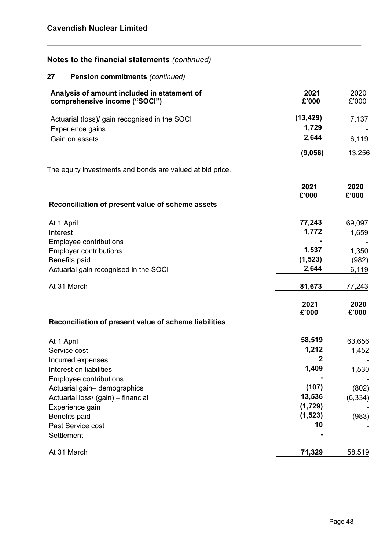| Notes to the financial statements (continued)                                |                    |                   |
|------------------------------------------------------------------------------|--------------------|-------------------|
| <b>Pension commitments (continued)</b><br>27                                 |                    |                   |
| Analysis of amount included in statement of<br>comprehensive income ("SOCI") | 2021<br>£'000      | 2020<br>£'000     |
| Actuarial (loss)/ gain recognised in the SOCI<br>Experience gains            | (13, 429)<br>1,729 | 7,137             |
| Gain on assets                                                               | 2,644              | 6,119             |
|                                                                              | (9,056)            | 13,256            |
| The equity investments and bonds are valued at bid price.                    |                    |                   |
|                                                                              | 2021<br>£'000      | 2020<br>£'000     |
| Reconciliation of present value of scheme assets                             |                    |                   |
| At 1 April<br>Interest                                                       | 77,243<br>1,772    | 69,097<br>1,659   |
| <b>Employee contributions</b><br><b>Employer contributions</b>               | 1,537              | 1,350             |
| Benefits paid                                                                | (1, 523)<br>2,644  | (982)             |
| Actuarial gain recognised in the SOCI                                        |                    | 6,119             |
| At 31 March                                                                  | 81,673             | 77,243            |
|                                                                              | 2021<br>£'000      | 2020<br>£'000     |
| Reconciliation of present value of scheme liabilities                        |                    |                   |
| At 1 April                                                                   | 58,519             | 63,656            |
| Service cost<br>Incurred expenses                                            | 1,212              | 1,452             |
| Interest on liabilities                                                      | 1,409              | 1,530             |
| Employee contributions                                                       | (107)              |                   |
| Actuarial gain-demographics<br>Actuarial loss/ (gain) - financial            | 13,536             | (802)<br>(6, 334) |
| Experience gain                                                              | (1,729)            |                   |
| Benefits paid                                                                | (1, 523)           | (983)             |
| Past Service cost<br>Settlement                                              | 10                 |                   |
| At 31 March                                                                  | 71,329             | 58,519            |